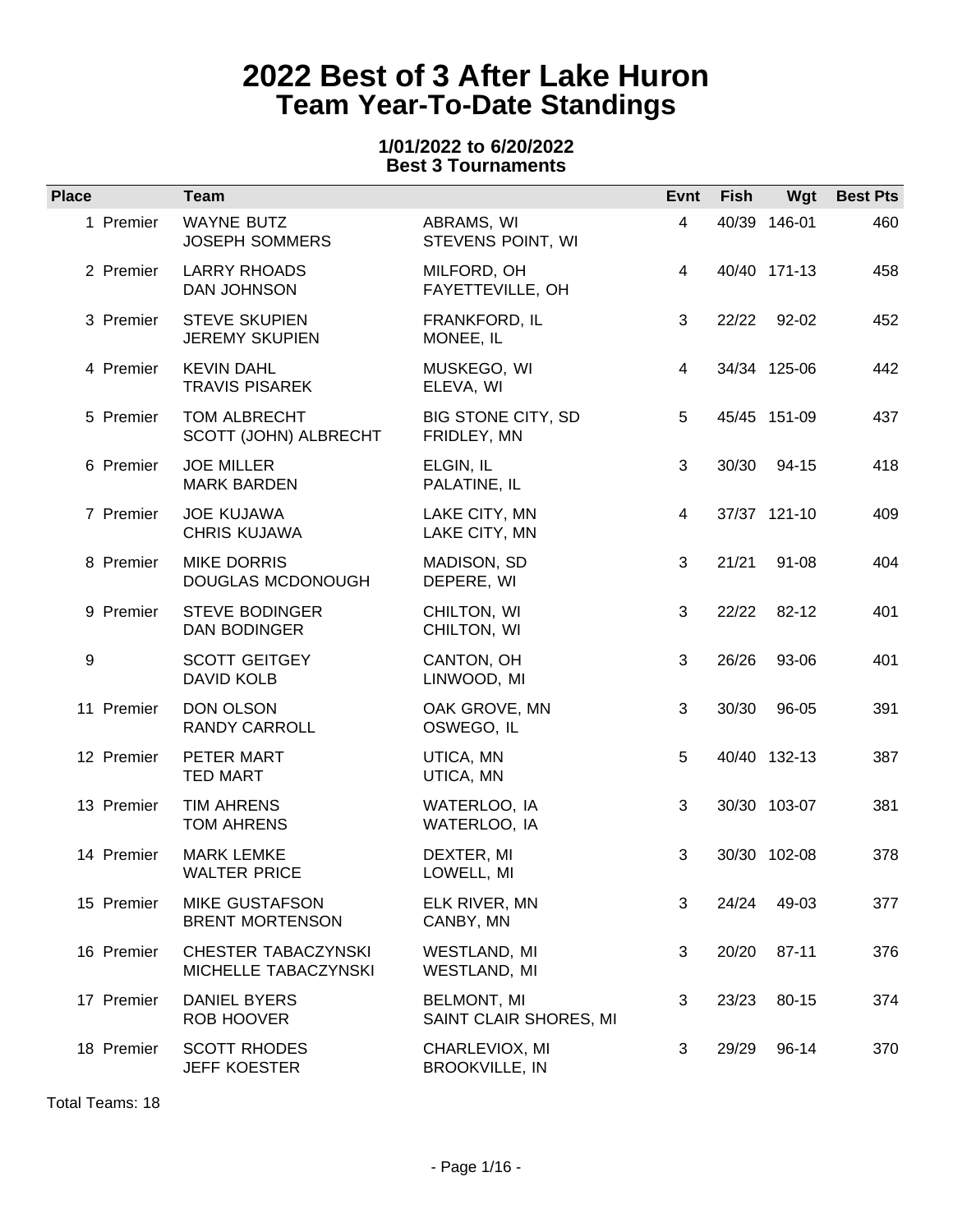### **1/01/2022 to 6/20/2022 Best 3 Tournaments**

| <b>Place</b> | Team                                            |                                              | Evnt           | <b>Fish</b> |              | Wgt Best Pts |
|--------------|-------------------------------------------------|----------------------------------------------|----------------|-------------|--------------|--------------|
| 1 Premier    | <b>WAYNE BUTZ</b><br><b>JOSEPH SOMMERS</b>      | ABRAMS, WI<br>STEVENS POINT, WI              | $\overline{4}$ |             | 40/39 146-01 | 460          |
| 2 Premier    | <b>LARRY RHOADS</b><br>DAN JOHNSON              | MILFORD, OH<br>FAYETTEVILLE, OH              | $\overline{4}$ |             | 40/40 171-13 | 458          |
| 3 Premier    | <b>STEVE SKUPIEN</b><br><b>JEREMY SKUPIEN</b>   | FRANKFORD, IL<br>MONEE, IL                   | 3              |             | 22/22 92-02  | 452          |
| 4 Premier    | <b>KEVIN DAHL</b><br><b>TRAVIS PISAREK</b>      | MUSKEGO, WI<br>ELEVA, WI                     | 4              |             | 34/34 125-06 | 442          |
| 5 Premier    | TOM ALBRECHT<br>SCOTT (JOHN) ALBRECHT           | BIG STONE CITY, SD<br>FRIDLEY, MN            | 5              |             | 45/45 151-09 | 437          |
| 6 Premier    | <b>JOE MILLER</b><br><b>MARK BARDEN</b>         | ELGIN, IL<br>PALATINE, IL                    | 3              | 30/30       | 94-15        | 418          |
| 7 Premier    | <b>JOE KUJAWA</b><br><b>CHRIS KUJAWA</b>        | LAKE CITY, MN<br>LAKE CITY, MN               | 4              |             | 37/37 121-10 | 409          |
| 8 Premier    | <b>MIKE DORRIS</b><br>DOUGLAS MCDONOUGH         | MADISON, SD<br>DEPERE, WI                    | 3              | 21/21       | 91-08        | 404          |
| 9 Premier    | <b>STEVE BODINGER</b><br>DAN BODINGER           | CHILTON, WI<br>CHILTON, WI                   | 3              | 22/22       | 82-12        | 401          |
| 9            | <b>SCOTT GEITGEY</b><br>DAVID KOLB              | CANTON, OH<br>LINWOOD, MI                    | 3              | 26/26       | 93-06        | 401          |
| 11 Premier   | <b>DON OLSON</b><br><b>RANDY CARROLL</b>        | OAK GROVE, MN<br>OSWEGO, IL                  | 3              | 30/30       | 96-05        | 391          |
| 12 Premier   | PETER MART<br><b>TED MART</b>                   | UTICA, MN<br>UTICA, MN                       | 5              |             | 40/40 132-13 | 387          |
| 13 Premier   | <b>TIM AHRENS</b><br><b>TOM AHRENS</b>          | WATERLOO, IA<br>WATERLOO, IA                 | 3              |             | 30/30 103-07 | 381          |
| 14 Premier   | <b>MARK LEMKE</b><br><b>WALTER PRICE</b>        | DEXTER, MI<br>LOWELL, MI                     | 3              |             | 30/30 102-08 | 378          |
| 15 Premier   | <b>MIKE GUSTAFSON</b><br><b>BRENT MORTENSON</b> | ELK RIVER, MN<br>CANBY, MN                   | 3              | 24/24       | 49-03        | 377          |
| 16 Premier   | CHESTER TABACZYNSKI<br>MICHELLE TABACZYNSKI     | WESTLAND, MI<br>WESTLAND, MI                 | 3              | 20/20       | 87-11        | 376          |
| 17 Premier   | <b>DANIEL BYERS</b><br>ROB HOOVER               | <b>BELMONT, MI</b><br>SAINT CLAIR SHORES, MI | 3              | 23/23       | 80-15        | 374          |
| 18 Premier   | <b>SCOTT RHODES</b><br><b>JEFF KOESTER</b>      | CHARLEVIOX, MI<br><b>BROOKVILLE, IN</b>      | 3              | 29/29       | 96-14        | 370          |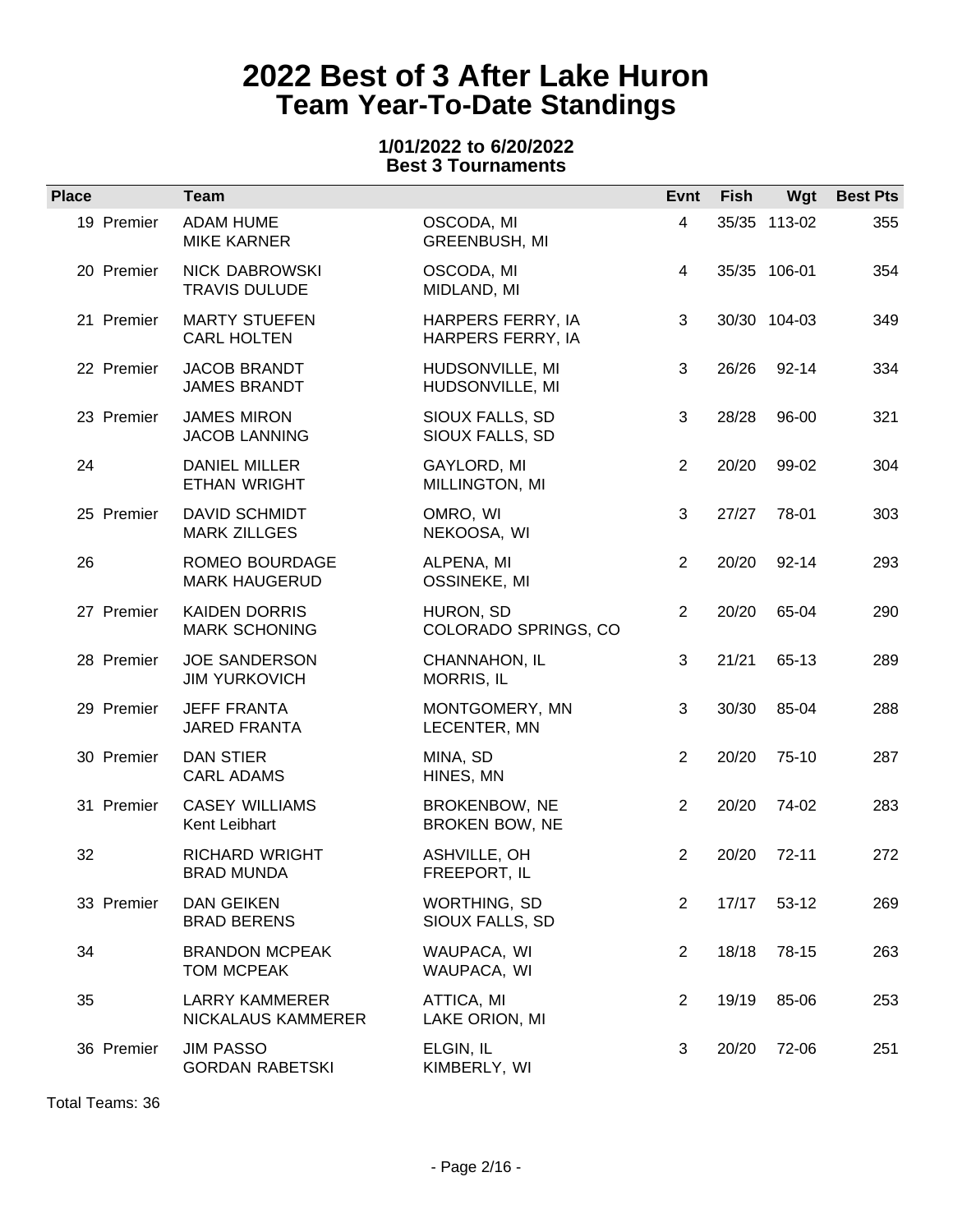### **1/01/2022 to 6/20/2022 Best 3 Tournaments**

| <b>Place</b> | <b>Team</b>                                   |                                        | Evnt           | Fish  | Wgt          | <b>Best Pts</b> |
|--------------|-----------------------------------------------|----------------------------------------|----------------|-------|--------------|-----------------|
| 19 Premier   | <b>ADAM HUME</b><br><b>MIKE KARNER</b>        | OSCODA, MI<br>GREENBUSH, MI            | $\overline{4}$ |       | 35/35 113-02 | 355             |
| 20 Premier   | <b>NICK DABROWSKI</b><br><b>TRAVIS DULUDE</b> | OSCODA, MI<br>MIDLAND, MI              | 4              |       | 35/35 106-01 | 354             |
| 21 Premier   | <b>MARTY STUEFEN</b><br><b>CARL HOLTEN</b>    | HARPERS FERRY, IA<br>HARPERS FERRY, IA | 3              |       | 30/30 104-03 | 349             |
| 22 Premier   | <b>JACOB BRANDT</b><br><b>JAMES BRANDT</b>    | HUDSONVILLE, MI<br>HUDSONVILLE, MI     | 3              | 26/26 | 92-14        | 334             |
| 23 Premier   | <b>JAMES MIRON</b><br><b>JACOB LANNING</b>    | SIOUX FALLS, SD<br>SIOUX FALLS, SD     | 3              | 28/28 | 96-00        | 321             |
| 24           | <b>DANIEL MILLER</b><br><b>ETHAN WRIGHT</b>   | GAYLORD, MI<br>MILLINGTON, MI          | 2              | 20/20 | 99-02        | 304             |
| 25 Premier   | <b>DAVID SCHMIDT</b><br><b>MARK ZILLGES</b>   | OMRO, WI<br>NEKOOSA, WI                | 3              | 27/27 | 78-01        | 303             |
| 26           | ROMEO BOURDAGE<br><b>MARK HAUGERUD</b>        | ALPENA, MI<br>OSSINEKE, MI             | $\overline{2}$ | 20/20 | $92 - 14$    | 293             |
| 27 Premier   | <b>KAIDEN DORRIS</b><br><b>MARK SCHONING</b>  | HURON, SD<br>COLORADO SPRINGS, CO      | 2              | 20/20 | 65-04        | 290             |
| 28 Premier   | <b>JOE SANDERSON</b><br><b>JIM YURKOVICH</b>  | CHANNAHON, IL<br>MORRIS, IL            | 3              | 21/21 | 65-13        | 289             |
| 29 Premier   | <b>JEFF FRANTA</b><br><b>JARED FRANTA</b>     | MONTGOMERY, MN<br>LECENTER, MN         | 3              | 30/30 | 85-04        | 288             |
| 30 Premier   | <b>DAN STIER</b><br><b>CARL ADAMS</b>         | MINA, SD<br>HINES, MN                  | $\overline{2}$ | 20/20 | 75-10        | 287             |
| 31 Premier   | <b>CASEY WILLIAMS</b><br>Kent Leibhart        | BROKENBOW, NE<br>BROKEN BOW, NE        | $\overline{2}$ | 20/20 | 74-02        | 283             |
| 32           | <b>RICHARD WRIGHT</b><br><b>BRAD MUNDA</b>    | ASHVILLE, OH<br>FREEPORT, IL           | 2              | 20/20 | $72-11$      | 272             |
| 33 Premier   | <b>DAN GEIKEN</b><br><b>BRAD BERENS</b>       | WORTHING, SD<br>SIOUX FALLS, SD        | 2              | 17/17 | $53-12$      | 269             |
| 34           | <b>BRANDON MCPEAK</b><br>TOM MCPEAK           | WAUPACA, WI<br>WAUPACA, WI             | $\overline{2}$ | 18/18 | 78-15        | 263             |
| 35           | <b>LARRY KAMMERER</b><br>NICKALAUS KAMMERER   | ATTICA, MI<br>LAKE ORION, MI           | 2              | 19/19 | 85-06        | 253             |
| 36 Premier   | <b>JIM PASSO</b><br><b>GORDAN RABETSKI</b>    | ELGIN, IL<br>KIMBERLY, WI              | 3              | 20/20 | 72-06        | 251             |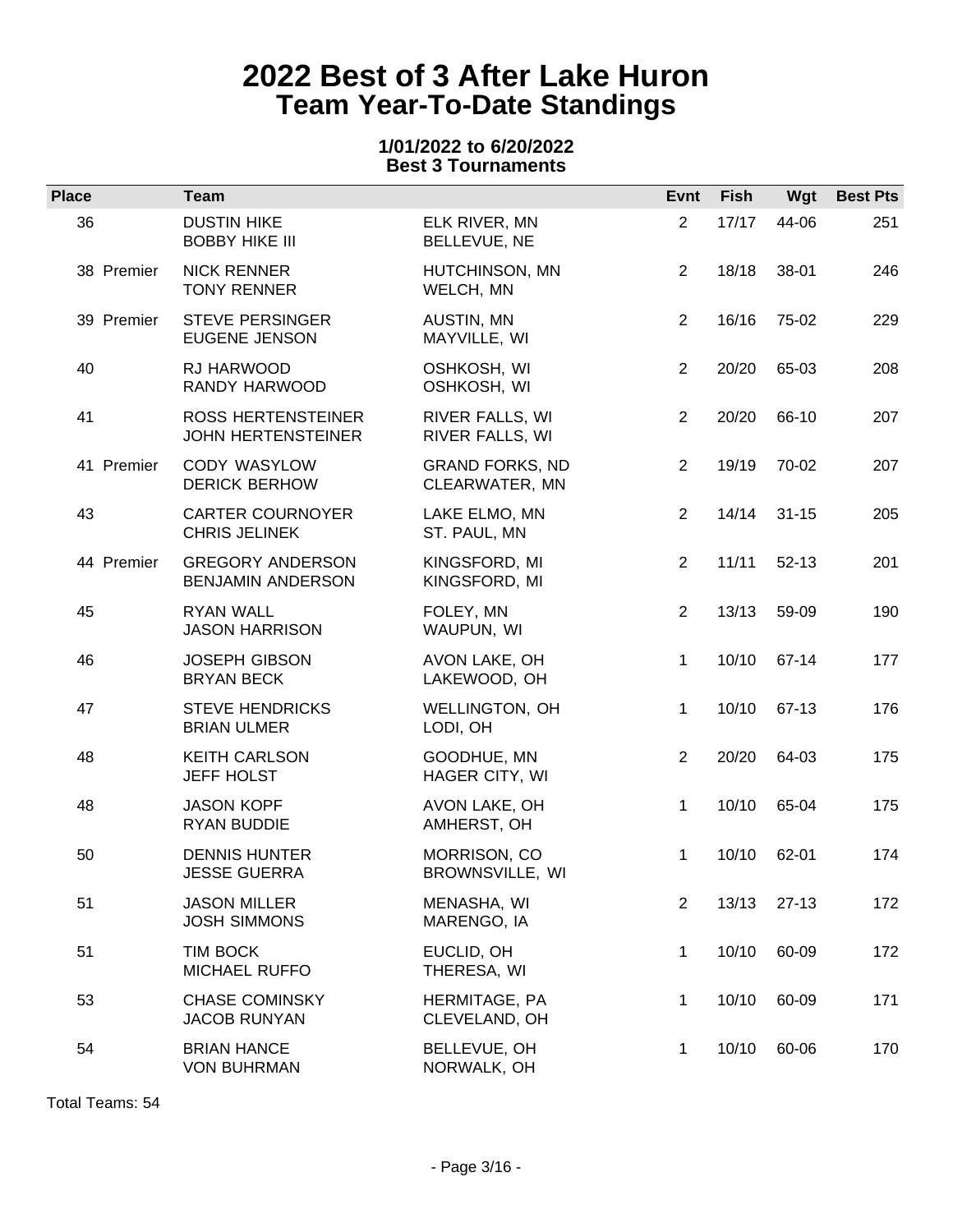### **1/01/2022 to 6/20/2022 Best 3 Tournaments**

| <b>Place</b> | Team                                                   |                                          | Evnt           | <b>Fish</b> | Wgt       | <b>Best Pts</b> |
|--------------|--------------------------------------------------------|------------------------------------------|----------------|-------------|-----------|-----------------|
| 36           | <b>DUSTIN HIKE</b><br><b>BOBBY HIKE III</b>            | ELK RIVER, MN<br>BELLEVUE, NE            | $\overline{2}$ | 17/17       | 44-06     | 251             |
| 38 Premier   | <b>NICK RENNER</b><br><b>TONY RENNER</b>               | HUTCHINSON, MN<br>WELCH, MN              | $\overline{2}$ | 18/18       | 38-01     | 246             |
| 39 Premier   | <b>STEVE PERSINGER</b><br><b>EUGENE JENSON</b>         | AUSTIN, MN<br>MAYVILLE, WI               | $\overline{2}$ | 16/16       | 75-02     | 229             |
| 40           | RJ HARWOOD<br>RANDY HARWOOD                            | OSHKOSH, WI<br>OSHKOSH, WI               | $\overline{2}$ | 20/20       | 65-03     | 208             |
| 41           | <b>ROSS HERTENSTEINER</b><br><b>JOHN HERTENSTEINER</b> | RIVER FALLS, WI<br>RIVER FALLS, WI       | $\overline{2}$ | 20/20       | 66-10     | 207             |
| 41 Premier   | CODY WASYLOW<br><b>DERICK BERHOW</b>                   | <b>GRAND FORKS, ND</b><br>CLEARWATER, MN | 2              | 19/19       | 70-02     | 207             |
| 43           | <b>CARTER COURNOYER</b><br><b>CHRIS JELINEK</b>        | LAKE ELMO, MN<br>ST. PAUL, MN            | $\overline{2}$ | 14/14       | $31 - 15$ | 205             |
| 44 Premier   | <b>GREGORY ANDERSON</b><br>BENJAMIN ANDERSON           | KINGSFORD, MI<br>KINGSFORD, MI           | $\overline{2}$ | 11/11       | $52 - 13$ | 201             |
| 45           | <b>RYAN WALL</b><br><b>JASON HARRISON</b>              | FOLEY, MN<br>WAUPUN, WI                  | 2              | 13/13       | 59-09     | 190             |
| 46           | <b>JOSEPH GIBSON</b><br><b>BRYAN BECK</b>              | AVON LAKE, OH<br>LAKEWOOD, OH            | $\mathbf{1}$   | 10/10       | 67-14     | 177             |
| 47           | <b>STEVE HENDRICKS</b><br><b>BRIAN ULMER</b>           | WELLINGTON, OH<br>LODI, OH               | $\mathbf{1}$   | 10/10       | 67-13     | 176             |
| 48           | <b>KEITH CARLSON</b><br><b>JEFF HOLST</b>              | GOODHUE, MN<br>HAGER CITY, WI            | 2              | 20/20       | 64-03     | 175             |
| 48           | <b>JASON KOPF</b><br><b>RYAN BUDDIE</b>                | AVON LAKE, OH<br>AMHERST, OH             | $\mathbf{1}$   | 10/10       | 65-04     | 175             |
| 50           | <b>DENNIS HUNTER</b><br><b>JESSE GUERRA</b>            | MORRISON, CO<br>BROWNSVILLE, WI          | $\mathbf 1$    | 10/10       | 62-01     | 174             |
| 51           | <b>JASON MILLER</b><br><b>JOSH SIMMONS</b>             | MENASHA, WI<br>MARENGO, IA               | $\overline{c}$ | 13/13       | $27-13$   | 172             |
| 51           | <b>TIM BOCK</b><br>MICHAEL RUFFO                       | EUCLID, OH<br>THERESA, WI                | $\mathbf 1$    | 10/10       | 60-09     | 172             |
| 53           | <b>CHASE COMINSKY</b><br><b>JACOB RUNYAN</b>           | HERMITAGE, PA<br>CLEVELAND, OH           | 1              | 10/10       | 60-09     | 171             |
| 54           | <b>BRIAN HANCE</b><br><b>VON BUHRMAN</b>               | BELLEVUE, OH<br>NORWALK, OH              | 1              | 10/10       | 60-06     | 170             |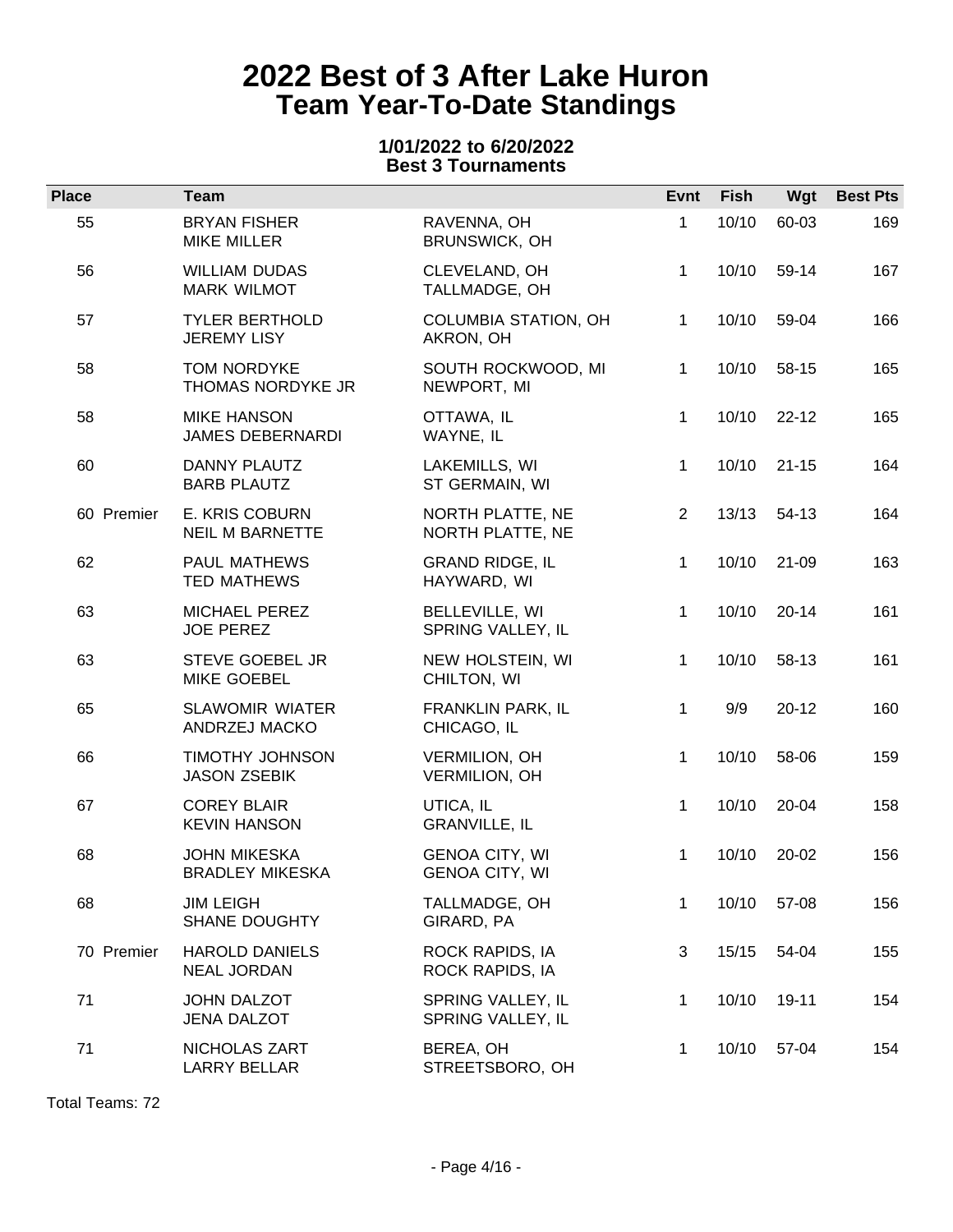### **1/01/2022 to 6/20/2022 Best 3 Tournaments**

| <b>Place</b> | <b>Team</b>                                     |                                              | Evnt           | Fish  | Wgt         | <b>Best Pts</b> |
|--------------|-------------------------------------------------|----------------------------------------------|----------------|-------|-------------|-----------------|
| 55           | <b>BRYAN FISHER</b><br><b>MIKE MILLER</b>       | RAVENNA, OH<br>BRUNSWICK, OH                 | $\mathbf 1$    | 10/10 | 60-03       | 169             |
| 56           | <b>WILLIAM DUDAS</b><br><b>MARK WILMOT</b>      | CLEVELAND, OH<br>TALLMADGE, OH               | $\mathbf{1}$   | 10/10 | 59-14       | 167             |
| 57           | <b>TYLER BERTHOLD</b><br><b>JEREMY LISY</b>     | COLUMBIA STATION, OH<br>AKRON, OH            | $\mathbf{1}$   | 10/10 | 59-04       | 166             |
| 58           | TOM NORDYKE<br>THOMAS NORDYKE JR                | SOUTH ROCKWOOD, MI<br>NEWPORT, MI            | $\mathbf{1}$   | 10/10 | 58-15       | 165             |
| 58           | <b>MIKE HANSON</b><br><b>JAMES DEBERNARDI</b>   | OTTAWA, IL<br>WAYNE, IL                      | $\mathbf{1}$   | 10/10 | $22 - 12$   | 165             |
| 60           | DANNY PLAUTZ<br><b>BARB PLAUTZ</b>              | LAKEMILLS, WI<br>ST GERMAIN, WI              | 1              | 10/10 | $21 - 15$   | 164             |
| 60 Premier   | <b>E. KRIS COBURN</b><br><b>NEIL M BARNETTE</b> | NORTH PLATTE, NE<br>NORTH PLATTE, NE         | $\overline{2}$ |       | 13/13 54-13 | 164             |
| 62           | PAUL MATHEWS<br><b>TED MATHEWS</b>              | <b>GRAND RIDGE, IL</b><br>HAYWARD, WI        | $\mathbf{1}$   | 10/10 | $21 - 09$   | 163             |
| 63           | MICHAEL PEREZ<br><b>JOE PEREZ</b>               | BELLEVILLE, WI<br>SPRING VALLEY, IL          | $\mathbf{1}$   | 10/10 | $20 - 14$   | 161             |
| 63           | <b>STEVE GOEBEL JR</b><br><b>MIKE GOEBEL</b>    | NEW HOLSTEIN, WI<br>CHILTON, WI              | $\mathbf{1}$   | 10/10 | 58-13       | 161             |
| 65           | <b>SLAWOMIR WIATER</b><br>ANDRZEJ MACKO         | FRANKLIN PARK, IL<br>CHICAGO, IL             | $\mathbf 1$    | 9/9   | $20 - 12$   | 160             |
| 66           | <b>TIMOTHY JOHNSON</b><br><b>JASON ZSEBIK</b>   | <b>VERMILION, OH</b><br><b>VERMILION, OH</b> | $\mathbf{1}$   | 10/10 | 58-06       | 159             |
| 67           | <b>COREY BLAIR</b><br><b>KEVIN HANSON</b>       | UTICA, IL<br><b>GRANVILLE, IL</b>            | $\mathbf{1}$   | 10/10 | 20-04       | 158             |
| 68           | <b>JOHN MIKESKA</b><br><b>BRADLEY MIKESKA</b>   | <b>GENOA CITY, WI</b><br>GENOA CITY, WI      | $\mathbf 1$    | 10/10 | 20-02       | 156             |
| 68           | <b>JIM LEIGH</b><br><b>SHANE DOUGHTY</b>        | TALLMADGE, OH<br>GIRARD, PA                  | $\mathbf 1$    | 10/10 | 57-08       | 156             |
| 70 Premier   | <b>HAROLD DANIELS</b><br><b>NEAL JORDAN</b>     | ROCK RAPIDS, IA<br>ROCK RAPIDS, IA           | 3              | 15/15 | 54-04       | 155             |
| 71           | <b>JOHN DALZOT</b><br><b>JENA DALZOT</b>        | SPRING VALLEY, IL<br>SPRING VALLEY, IL       | 1              | 10/10 | 19-11       | 154             |
| 71           | NICHOLAS ZART<br>LARRY BELLAR                   | BEREA, OH<br>STREETSBORO, OH                 | 1              | 10/10 | 57-04       | 154             |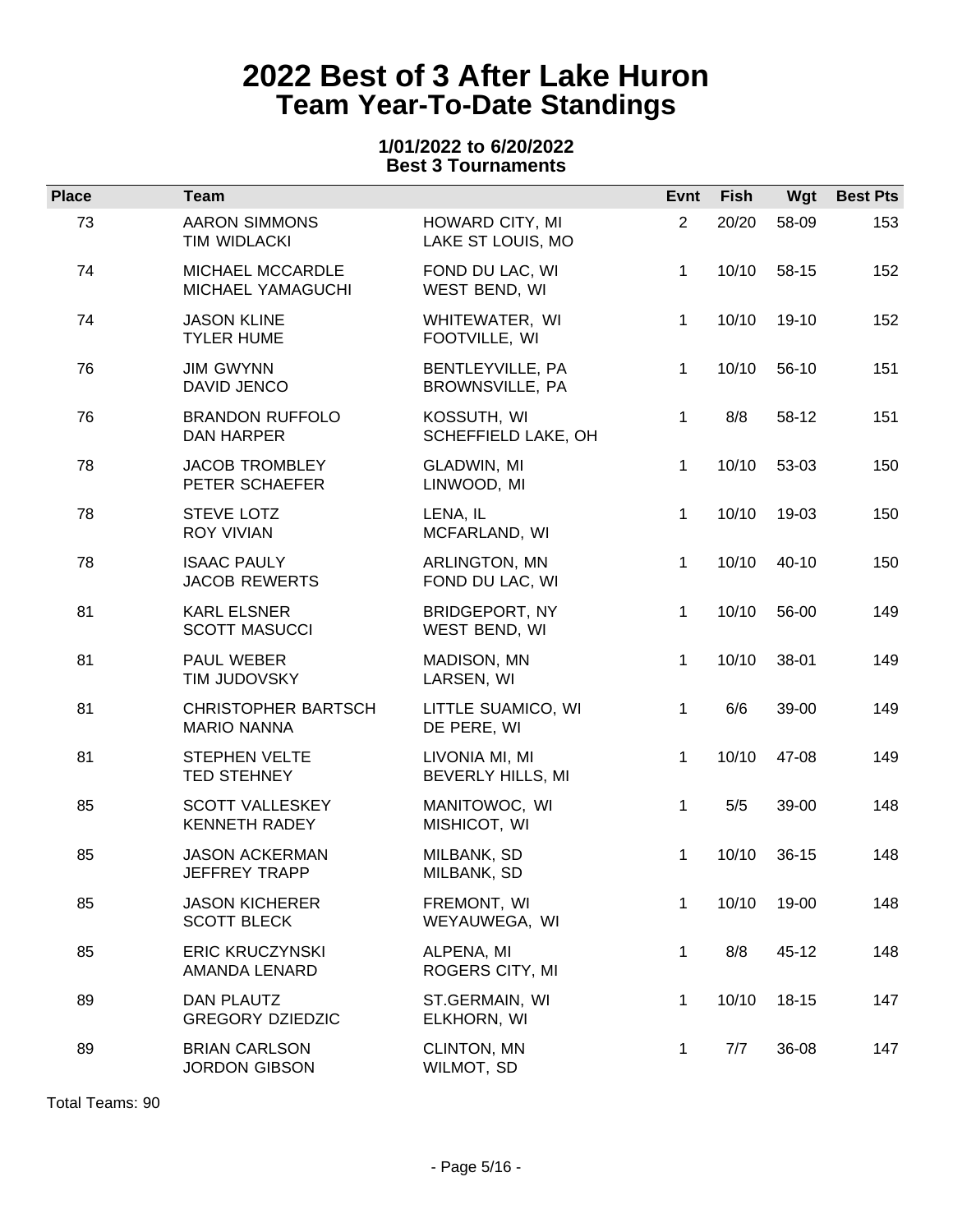### **1/01/2022 to 6/20/2022 Best 3 Tournaments**

| <b>Place</b> | <b>Team</b>                                      |                                        | Evnt           | <b>Fish</b> | Wgt       | <b>Best Pts</b> |
|--------------|--------------------------------------------------|----------------------------------------|----------------|-------------|-----------|-----------------|
| 73           | <b>AARON SIMMONS</b><br>TIM WIDLACKI             | HOWARD CITY, MI<br>LAKE ST LOUIS, MO   | $\overline{2}$ | 20/20       | 58-09     | 153             |
| 74           | MICHAEL MCCARDLE<br>MICHAEL YAMAGUCHI            | FOND DU LAC, WI<br>WEST BEND, WI       | 1.             | 10/10       | 58-15     | 152             |
| 74           | <b>JASON KLINE</b><br><b>TYLER HUME</b>          | WHITEWATER, WI<br>FOOTVILLE, WI        | 1              | 10/10       | 19-10     | 152             |
| 76           | <b>JIM GWYNN</b><br>DAVID JENCO                  | BENTLEYVILLE, PA<br>BROWNSVILLE, PA    | 1              | 10/10       | 56-10     | 151             |
| 76           | <b>BRANDON RUFFOLO</b><br>DAN HARPER             | KOSSUTH, WI<br>SCHEFFIELD LAKE, OH     | $\mathbf 1$    | 8/8         | 58-12     | 151             |
| 78           | <b>JACOB TROMBLEY</b><br>PETER SCHAEFER          | GLADWIN, MI<br>LINWOOD, MI             | 1              | 10/10       | 53-03     | 150             |
| 78           | STEVE LOTZ<br><b>ROY VIVIAN</b>                  | LENA, IL<br>MCFARLAND, WI              | 1.             | 10/10       | 19-03     | 150             |
| 78           | <b>ISAAC PAULY</b><br><b>JACOB REWERTS</b>       | ARLINGTON, MN<br>FOND DU LAC, WI       | $\mathbf{1}$   | 10/10       | 40-10     | 150             |
| 81           | <b>KARL ELSNER</b><br><b>SCOTT MASUCCI</b>       | <b>BRIDGEPORT, NY</b><br>WEST BEND, WI | 1              | 10/10       | 56-00     | 149             |
| 81           | PAUL WEBER<br>TIM JUDOVSKY                       | MADISON, MN<br>LARSEN, WI              | 1.             | 10/10       | 38-01     | 149             |
| 81           | <b>CHRISTOPHER BARTSCH</b><br><b>MARIO NANNA</b> | LITTLE SUAMICO, WI<br>DE PERE, WI      | $\mathbf{1}$   | 6/6         | 39-00     | 149             |
| 81           | <b>STEPHEN VELTE</b><br><b>TED STEHNEY</b>       | LIVONIA MI, MI<br>BEVERLY HILLS, MI    | 1              | 10/10       | 47-08     | 149             |
| 85           | <b>SCOTT VALLESKEY</b><br><b>KENNETH RADEY</b>   | MANITOWOC, WI<br>MISHICOT, WI          | $\mathbf{1}$   | 5/5         | 39-00     | 148             |
| 85           | <b>JASON ACKERMAN</b><br>JEFFREY TRAPP           | MILBANK, SD<br>MILBANK, SD             | 1              | 10/10       | $36-15$   | 148             |
| 85           | <b>JASON KICHERER</b><br><b>SCOTT BLECK</b>      | FREMONT, WI<br>WEYAUWEGA, WI           | 1              | 10/10       | 19-00     | 148             |
| 85           | <b>ERIC KRUCZYNSKI</b><br>AMANDA LENARD          | ALPENA, MI<br>ROGERS CITY, MI          | 1              | 8/8         | 45-12     | 148             |
| 89           | <b>DAN PLAUTZ</b><br><b>GREGORY DZIEDZIC</b>     | ST.GERMAIN, WI<br>ELKHORN, WI          | 1              | 10/10       | $18 - 15$ | 147             |
| 89           | <b>BRIAN CARLSON</b><br><b>JORDON GIBSON</b>     | CLINTON, MN<br>WILMOT, SD              | 1              | 7/7         | 36-08     | 147             |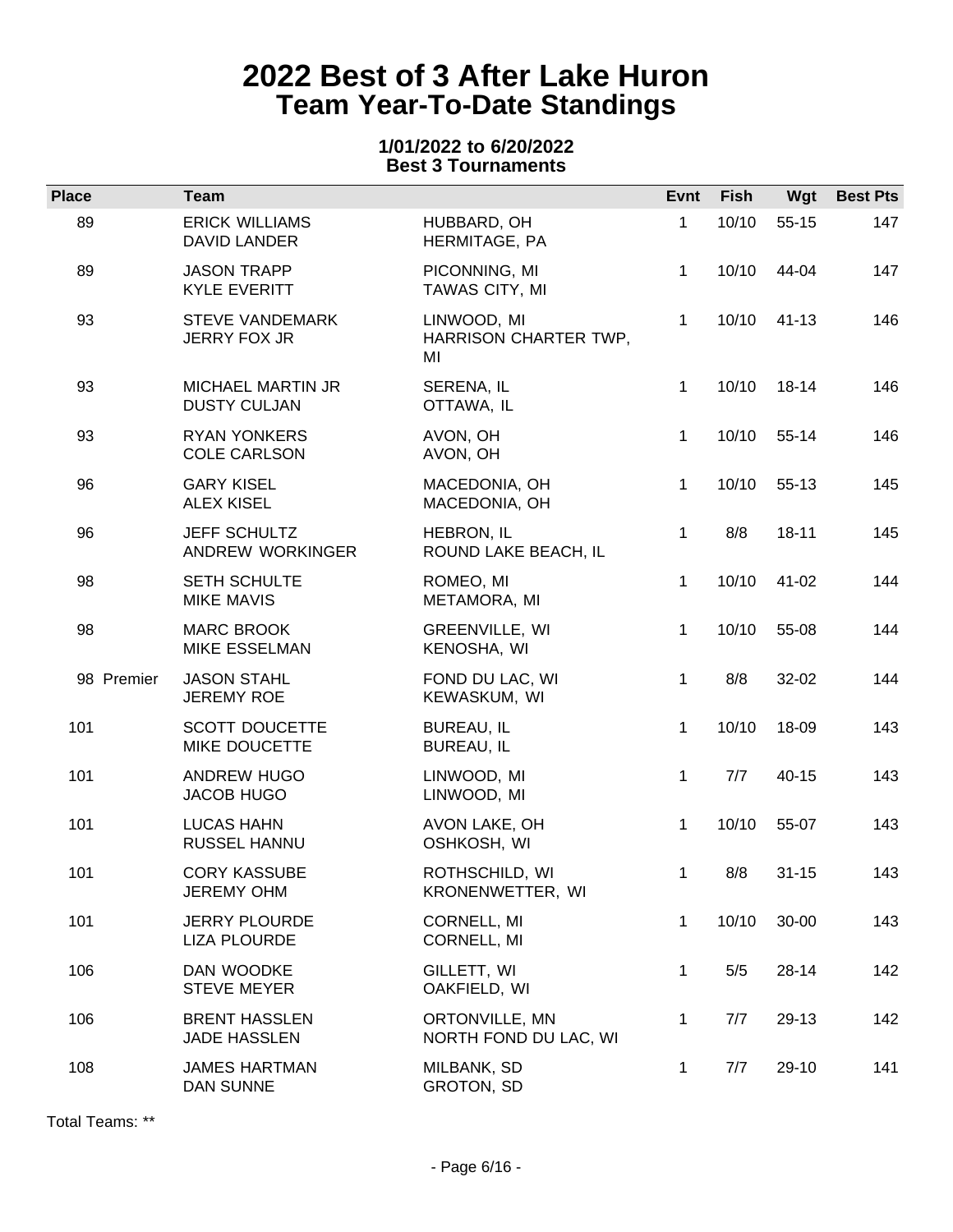### **1/01/2022 to 6/20/2022 Best 3 Tournaments**

| <b>Place</b> | <b>Team</b>                                     |                                            | Evnt         | <b>Fish</b> | Wgt       | <b>Best Pts</b> |
|--------------|-------------------------------------------------|--------------------------------------------|--------------|-------------|-----------|-----------------|
| 89           | <b>ERICK WILLIAMS</b><br><b>DAVID LANDER</b>    | HUBBARD, OH<br>HERMITAGE, PA               | $\mathbf 1$  | 10/10       | $55 - 15$ | 147             |
| 89           | <b>JASON TRAPP</b><br><b>KYLE EVERITT</b>       | PICONNING, MI<br>TAWAS CITY, MI            | 1            | 10/10       | 44-04     | 147             |
| 93           | <b>STEVE VANDEMARK</b><br><b>JERRY FOX JR</b>   | LINWOOD, MI<br>HARRISON CHARTER TWP,<br>MI | $\mathbf{1}$ | 10/10       | $41 - 13$ | 146             |
| 93           | <b>MICHAEL MARTIN JR</b><br><b>DUSTY CULJAN</b> | SERENA, IL<br>OTTAWA, IL                   | $\mathbf 1$  | 10/10       | 18-14     | 146             |
| 93           | <b>RYAN YONKERS</b><br><b>COLE CARLSON</b>      | AVON, OH<br>AVON, OH                       | $\mathbf{1}$ | 10/10       | $55-14$   | 146             |
| 96           | <b>GARY KISEL</b><br><b>ALEX KISEL</b>          | MACEDONIA, OH<br>MACEDONIA, OH             | $\mathbf{1}$ | 10/10       | 55-13     | 145             |
| 96           | <b>JEFF SCHULTZ</b><br>ANDREW WORKINGER         | HEBRON, IL<br>ROUND LAKE BEACH, IL         | $\mathbf{1}$ | 8/8         | $18 - 11$ | 145             |
| 98           | SETH SCHULTE<br><b>MIKE MAVIS</b>               | ROMEO, MI<br>METAMORA, MI                  | $\mathbf 1$  | 10/10       | 41-02     | 144             |
| 98           | <b>MARC BROOK</b><br>MIKE ESSELMAN              | GREENVILLE, WI<br>KENOSHA, WI              | $\mathbf 1$  | 10/10       | 55-08     | 144             |
| 98 Premier   | <b>JASON STAHL</b><br><b>JEREMY ROE</b>         | FOND DU LAC, WI<br>KEWASKUM, WI            | $\mathbf{1}$ | 8/8         | 32-02     | 144             |
| 101          | <b>SCOTT DOUCETTE</b><br>MIKE DOUCETTE          | <b>BUREAU, IL</b><br><b>BUREAU, IL</b>     | $\mathbf 1$  | 10/10       | 18-09     | 143             |
| 101          | ANDREW HUGO<br><b>JACOB HUGO</b>                | LINWOOD, MI<br>LINWOOD, MI                 | $\mathbf{1}$ | 7/7         | $40 - 15$ | 143             |
| 101          | <b>LUCAS HAHN</b><br>RUSSEL HANNU               | AVON LAKE, OH<br>OSHKOSH, WI               | $\mathbf{1}$ | 10/10       | 55-07     | 143             |
| 101          | <b>CORY KASSUBE</b><br><b>JEREMY OHM</b>        | ROTHSCHILD, WI<br>KRONENWETTER, WI         | $\mathbf 1$  | 8/8         | $31 - 15$ | 143             |
| 101          | <b>JERRY PLOURDE</b><br><b>LIZA PLOURDE</b>     | CORNELL, MI<br>CORNELL, MI                 | 1            | 10/10       | 30-00     | 143             |
| 106          | DAN WOODKE<br><b>STEVE MEYER</b>                | GILLETT, WI<br>OAKFIELD, WI                | $\mathbf 1$  | 5/5         | 28-14     | 142             |
| 106          | <b>BRENT HASSLEN</b><br><b>JADE HASSLEN</b>     | ORTONVILLE, MN<br>NORTH FOND DU LAC, WI    | 1            | 7/7         | 29-13     | 142             |
| 108          | <b>JAMES HARTMAN</b><br>DAN SUNNE               | MILBANK, SD<br>GROTON, SD                  | 1            | 7/7         | 29-10     | 141             |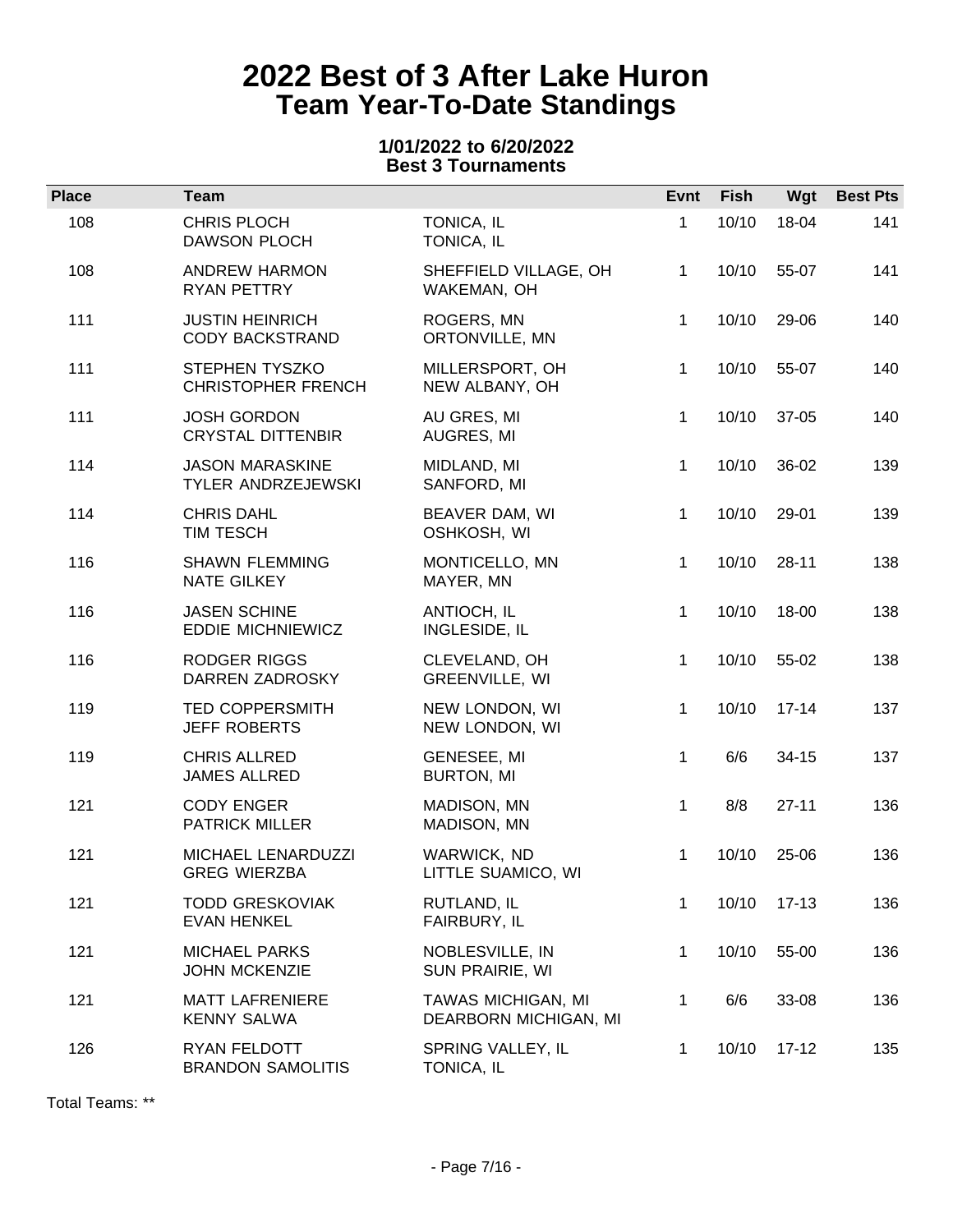### **1/01/2022 to 6/20/2022 Best 3 Tournaments**

| <b>Place</b> | Team                                             |                                             | Evnt         | <b>Fish</b> | Wgt       | <b>Best Pts</b> |
|--------------|--------------------------------------------------|---------------------------------------------|--------------|-------------|-----------|-----------------|
| 108          | CHRIS PLOCH<br><b>DAWSON PLOCH</b>               | TONICA, IL<br>TONICA, IL                    | 1            | 10/10       | 18-04     | 141             |
| 108          | <b>ANDREW HARMON</b><br>RYAN PETTRY              | SHEFFIELD VILLAGE, OH<br>WAKEMAN, OH        | 1.           | 10/10       | 55-07     | 141             |
| 111          | <b>JUSTIN HEINRICH</b><br><b>CODY BACKSTRAND</b> | ROGERS, MN<br>ORTONVILLE, MN                | $\mathbf{1}$ | 10/10       | 29-06     | 140             |
| 111          | STEPHEN TYSZKO<br><b>CHRISTOPHER FRENCH</b>      | MILLERSPORT, OH<br>NEW ALBANY, OH           | 1            | 10/10       | 55-07     | 140             |
| 111          | <b>JOSH GORDON</b><br><b>CRYSTAL DITTENBIR</b>   | AU GRES, MI<br>AUGRES, MI                   | 1.           | 10/10       | 37-05     | 140             |
| 114          | <b>JASON MARASKINE</b><br>TYLER ANDRZEJEWSKI     | MIDLAND, MI<br>SANFORD, MI                  | 1            | 10/10       | 36-02     | 139             |
| 114          | <b>CHRIS DAHL</b><br>TIM TESCH                   | BEAVER DAM, WI<br>OSHKOSH, WI               | 1.           | 10/10       | 29-01     | 139             |
| 116          | <b>SHAWN FLEMMING</b><br>NATE GILKEY             | MONTICELLO, MN<br>MAYER, MN                 | $\mathbf 1$  | 10/10       | $28 - 11$ | 138             |
| 116          | <b>JASEN SCHINE</b><br><b>EDDIE MICHNIEWICZ</b>  | ANTIOCH, IL<br>INGLESIDE, IL                | 1            | 10/10       | 18-00     | 138             |
| 116          | <b>RODGER RIGGS</b><br>DARREN ZADROSKY           | CLEVELAND, OH<br>GREENVILLE, WI             | 1.           | 10/10       | 55-02     | 138             |
| 119          | <b>TED COPPERSMITH</b><br><b>JEFF ROBERTS</b>    | NEW LONDON, WI<br>NEW LONDON, WI            | 1            | 10/10       | $17 - 14$ | 137             |
| 119          | <b>CHRIS ALLRED</b><br><b>JAMES ALLRED</b>       | GENESEE, MI<br><b>BURTON, MI</b>            | 1            | 6/6         | $34 - 15$ | 137             |
| 121          | <b>CODY ENGER</b><br><b>PATRICK MILLER</b>       | MADISON, MN<br>MADISON, MN                  | $\mathbf{1}$ | 8/8         | $27 - 11$ | 136             |
| 121          | MICHAEL LENARDUZZI<br><b>GREG WIERZBA</b>        | WARWICK, ND<br>LITTLE SUAMICO, WI           | 1            | 10/10       | 25-06     | 136             |
| 121          | <b>TODD GRESKOVIAK</b><br><b>EVAN HENKEL</b>     | RUTLAND, IL<br>FAIRBURY, IL                 | 1            | 10/10       | $17-13$   | 136             |
| 121          | <b>MICHAEL PARKS</b><br><b>JOHN MCKENZIE</b>     | NOBLESVILLE, IN<br>SUN PRAIRIE, WI          | 1            | 10/10       | 55-00     | 136             |
| 121          | <b>MATT LAFRENIERE</b><br><b>KENNY SALWA</b>     | TAWAS MICHIGAN, MI<br>DEARBORN MICHIGAN, MI | 1            | 6/6         | 33-08     | 136             |
| 126          | RYAN FELDOTT<br><b>BRANDON SAMOLITIS</b>         | SPRING VALLEY, IL<br>TONICA, IL             | 1            | 10/10       | $17 - 12$ | 135             |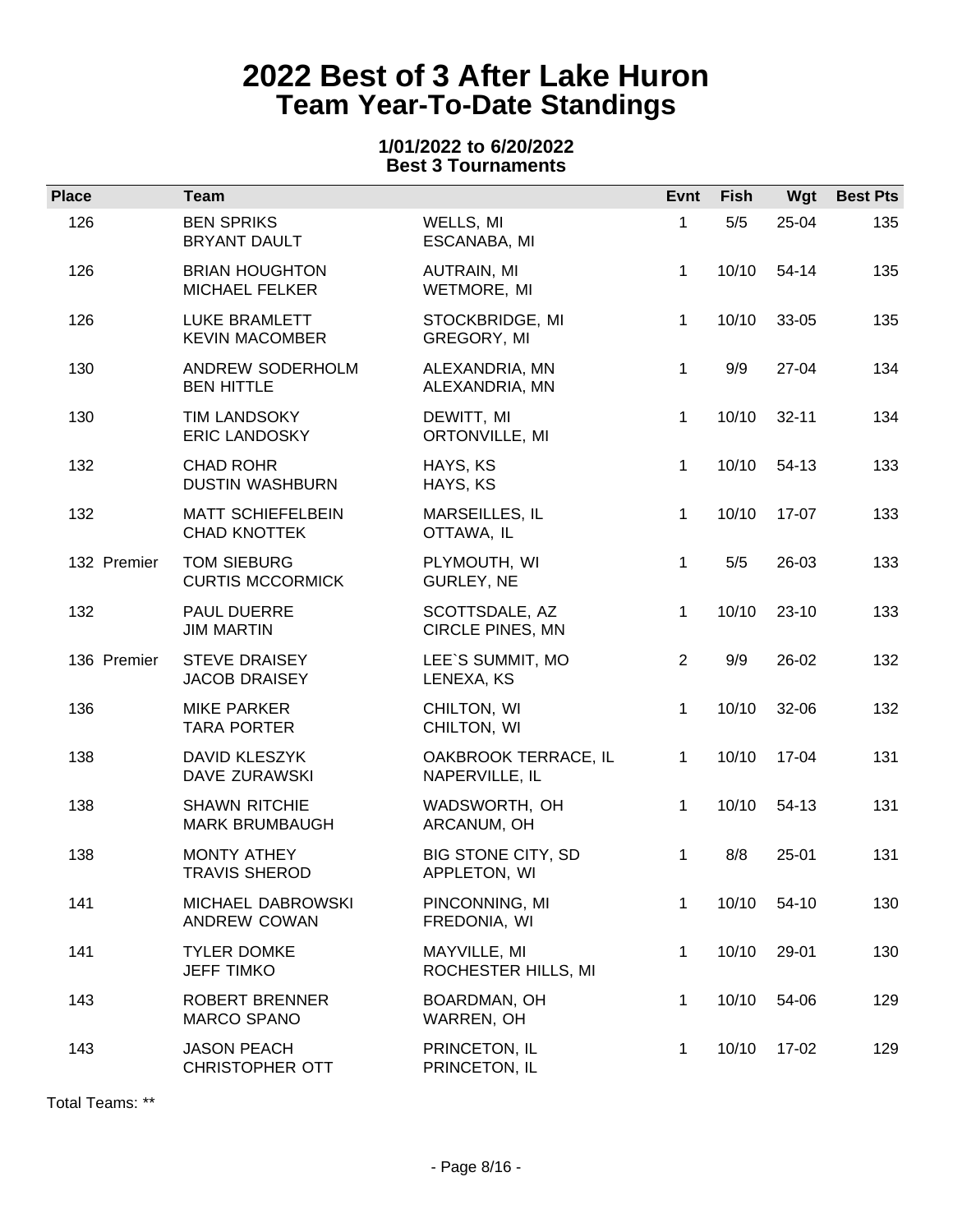### **1/01/2022 to 6/20/2022 Best 3 Tournaments**

| <b>Place</b> | <b>Team</b>                                     |                                        | Evnt           | <b>Fish</b> | Wgt       | <b>Best Pts</b> |
|--------------|-------------------------------------------------|----------------------------------------|----------------|-------------|-----------|-----------------|
| 126          | <b>BEN SPRIKS</b><br><b>BRYANT DAULT</b>        | WELLS, MI<br>ESCANABA, MI              | $\mathbf{1}$   | 5/5         | 25-04     | 135             |
| 126          | <b>BRIAN HOUGHTON</b><br><b>MICHAEL FELKER</b>  | AUTRAIN, MI<br>WETMORE, MI             | 1.             | 10/10       | 54-14     | 135             |
| 126          | LUKE BRAMLETT<br><b>KEVIN MACOMBER</b>          | STOCKBRIDGE, MI<br>GREGORY, MI         | $\mathbf{1}$   | 10/10       | 33-05     | 135             |
| 130          | ANDREW SODERHOLM<br><b>BEN HITTLE</b>           | ALEXANDRIA, MN<br>ALEXANDRIA, MN       | $\mathbf 1$    | 9/9         | 27-04     | 134             |
| 130          | <b>TIM LANDSOKY</b><br><b>ERIC LANDOSKY</b>     | DEWITT, MI<br>ORTONVILLE, MI           | $\mathbf 1$    | 10/10       | $32 - 11$ | 134             |
| 132          | <b>CHAD ROHR</b><br><b>DUSTIN WASHBURN</b>      | HAYS, KS<br>HAYS, KS                   | $\mathbf{1}$   | 10/10       | 54-13     | 133             |
| 132          | <b>MATT SCHIEFELBEIN</b><br><b>CHAD KNOTTEK</b> | MARSEILLES, IL<br>OTTAWA, IL           | $\mathbf{1}$   | 10/10       | $17-07$   | 133             |
| 132 Premier  | <b>TOM SIEBURG</b><br><b>CURTIS MCCORMICK</b>   | PLYMOUTH, WI<br>GURLEY, NE             | $\mathbf 1$    | 5/5         | 26-03     | 133             |
| 132          | PAUL DUERRE<br><b>JIM MARTIN</b>                | SCOTTSDALE, AZ<br>CIRCLE PINES, MN     | 1              | 10/10       | $23-10$   | 133             |
| 136 Premier  | <b>STEVE DRAISEY</b><br><b>JACOB DRAISEY</b>    | LEE`S SUMMIT, MO<br>LENEXA, KS         | $\overline{2}$ | 9/9         | 26-02     | 132             |
| 136          | <b>MIKE PARKER</b><br><b>TARA PORTER</b>        | CHILTON, WI<br>CHILTON, WI             | $\mathbf{1}$   | 10/10       | 32-06     | 132             |
| 138          | <b>DAVID KLESZYK</b><br>DAVE ZURAWSKI           | OAKBROOK TERRACE, IL<br>NAPERVILLE, IL | $\mathbf{1}$   | 10/10       | 17-04     | 131             |
| 138          | <b>SHAWN RITCHIE</b><br><b>MARK BRUMBAUGH</b>   | WADSWORTH, OH<br>ARCANUM, OH           | $\mathbf 1$    | 10/10       | 54-13     | 131             |
| 138          | <b>MONTY ATHEY</b><br><b>TRAVIS SHEROD</b>      | BIG STONE CITY, SD<br>APPLETON, WI     | 1              | 8/8         | $25 - 01$ | 131             |
| 141          | MICHAEL DABROWSKI<br>ANDREW COWAN               | PINCONNING, MI<br>FREDONIA, WI         | $\mathbf 1$    | 10/10       | 54-10     | 130             |
| 141          | <b>TYLER DOMKE</b><br><b>JEFF TIMKO</b>         | MAYVILLE, MI<br>ROCHESTER HILLS, MI    | $\mathbf 1$    | 10/10       | 29-01     | 130             |
| 143          | <b>ROBERT BRENNER</b><br><b>MARCO SPANO</b>     | BOARDMAN, OH<br>WARREN, OH             | 1              | 10/10       | 54-06     | 129             |
| 143          | <b>JASON PEACH</b><br><b>CHRISTOPHER OTT</b>    | PRINCETON, IL<br>PRINCETON, IL         | 1              | 10/10       | 17-02     | 129             |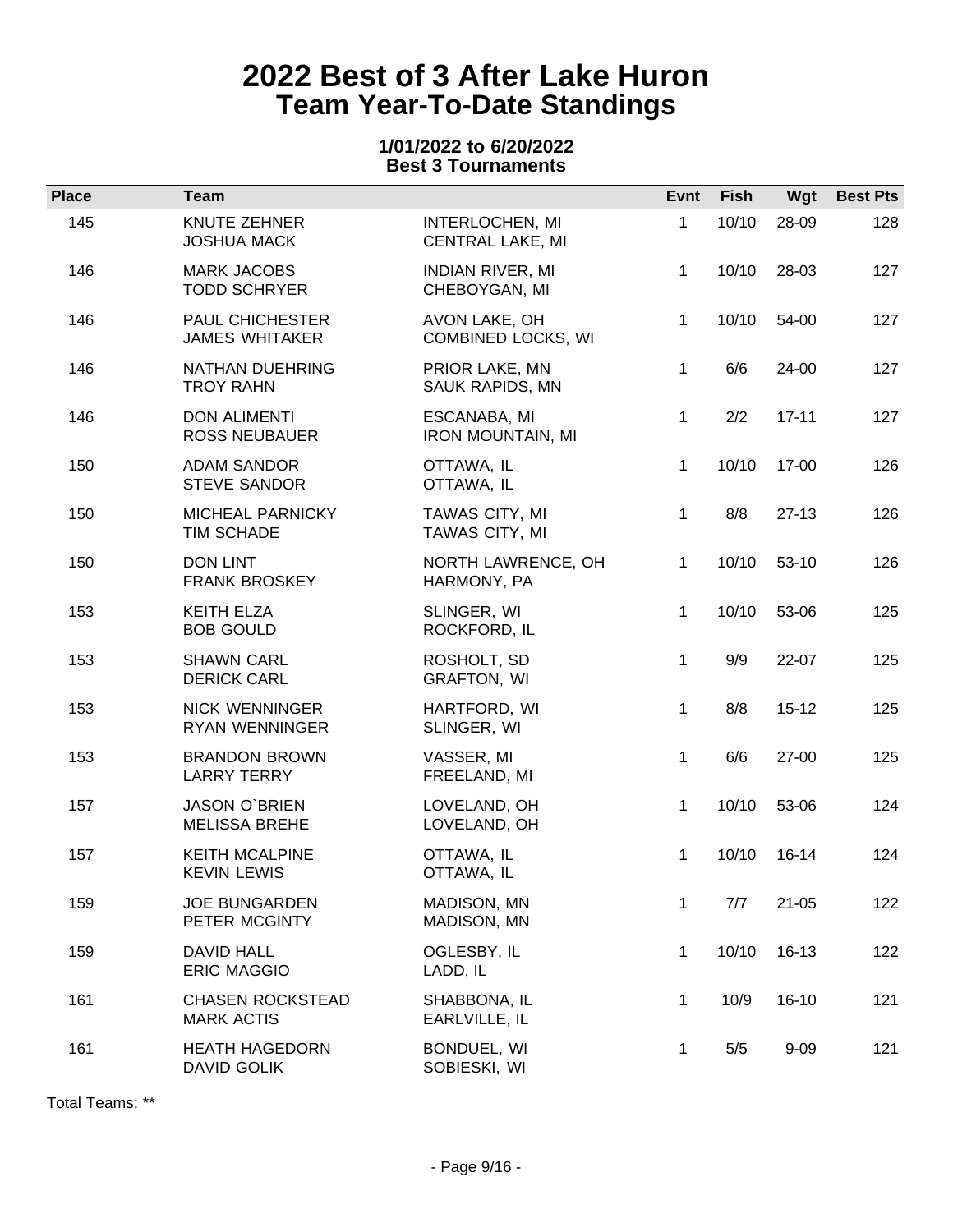### **1/01/2022 to 6/20/2022 Best 3 Tournaments**

| <b>Place</b> | <b>Team</b>                                  |                                                   | Evnt         | <b>Fish</b> | Wgt       | <b>Best Pts</b> |
|--------------|----------------------------------------------|---------------------------------------------------|--------------|-------------|-----------|-----------------|
| 145          | KNUTE ZEHNER<br><b>JOSHUA MACK</b>           | <b>INTERLOCHEN, MI</b><br><b>CENTRAL LAKE, MI</b> | 1            | 10/10       | 28-09     | 128             |
| 146          | <b>MARK JACOBS</b><br><b>TODD SCHRYER</b>    | <b>INDIAN RIVER, MI</b><br>CHEBOYGAN, MI          | 1.           | 10/10       | 28-03     | 127             |
| 146          | PAUL CHICHESTER<br><b>JAMES WHITAKER</b>     | AVON LAKE, OH<br><b>COMBINED LOCKS, WI</b>        | 1            | 10/10       | 54-00     | 127             |
| 146          | NATHAN DUEHRING<br><b>TROY RAHN</b>          | PRIOR LAKE, MN<br>SAUK RAPIDS, MN                 | $\mathbf{1}$ | 6/6         | 24-00     | 127             |
| 146          | <b>DON ALIMENTI</b><br><b>ROSS NEUBAUER</b>  | ESCANABA, MI<br><b>IRON MOUNTAIN, MI</b>          | $\mathbf{1}$ | 2/2         | $17 - 11$ | 127             |
| 150          | <b>ADAM SANDOR</b><br><b>STEVE SANDOR</b>    | OTTAWA, IL<br>OTTAWA, IL                          | 1            | 10/10       | 17-00     | 126             |
| 150          | MICHEAL PARNICKY<br>TIM SCHADE               | TAWAS CITY, MI<br>TAWAS CITY, MI                  | 1            | 8/8         | $27-13$   | 126             |
| 150          | <b>DON LINT</b><br><b>FRANK BROSKEY</b>      | NORTH LAWRENCE, OH<br>HARMONY, PA                 | 1.           | 10/10       | $53-10$   | 126             |
| 153          | <b>KEITH ELZA</b><br><b>BOB GOULD</b>        | SLINGER, WI<br>ROCKFORD, IL                       | 1            | 10/10       | 53-06     | 125             |
| 153          | <b>SHAWN CARL</b><br><b>DERICK CARL</b>      | ROSHOLT, SD<br><b>GRAFTON, WI</b>                 | $\mathbf{1}$ | 9/9         | 22-07     | 125             |
| 153          | <b>NICK WENNINGER</b><br>RYAN WENNINGER      | HARTFORD, WI<br>SLINGER, WI                       | $\mathbf 1$  | 8/8         | $15 - 12$ | 125             |
| 153          | <b>BRANDON BROWN</b><br><b>LARRY TERRY</b>   | VASSER, MI<br>FREELAND, MI                        | 1            | 6/6         | 27-00     | 125             |
| 157          | <b>JASON O'BRIEN</b><br><b>MELISSA BREHE</b> | LOVELAND, OH<br>LOVELAND, OH                      | 1.           | 10/10       | 53-06     | 124             |
| 157          | <b>KEITH MCALPINE</b><br><b>KEVIN LEWIS</b>  | OTTAWA, IL<br>OTTAWA, IL                          | 1            | 10/10       | $16 - 14$ | 124             |
| 159          | <b>JOE BUNGARDEN</b><br>PETER MCGINTY        | MADISON, MN<br>MADISON, MN                        | 1            | 7/7         | $21 - 05$ | 122             |
| 159          | <b>DAVID HALL</b><br><b>ERIC MAGGIO</b>      | OGLESBY, IL<br>LADD, IL                           | 1            | 10/10       | $16-13$   | 122             |
| 161          | <b>CHASEN ROCKSTEAD</b><br><b>MARK ACTIS</b> | SHABBONA, IL<br>EARLVILLE, IL                     | 1            | 10/9        | $16-10$   | 121             |
| 161          | <b>HEATH HAGEDORN</b><br>DAVID GOLIK         | BONDUEL, WI<br>SOBIESKI, WI                       | 1            | 5/5         | $9 - 09$  | 121             |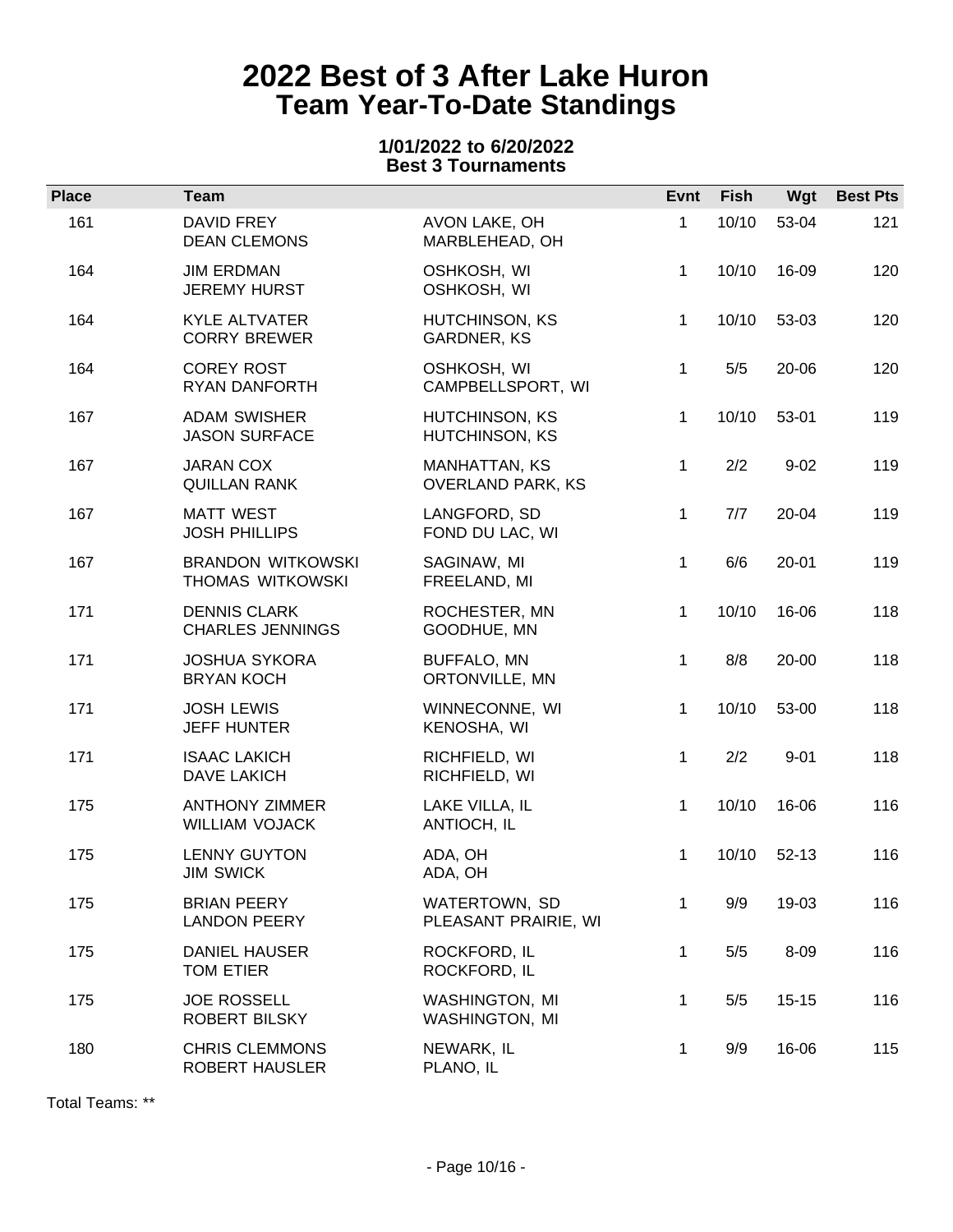### **1/01/2022 to 6/20/2022 Best 3 Tournaments**

| <b>Place</b> | <b>Team</b>                                    |                                           | Evnt         | Fish  | Wgt       | <b>Best Pts</b> |
|--------------|------------------------------------------------|-------------------------------------------|--------------|-------|-----------|-----------------|
| 161          | DAVID FREY<br><b>DEAN CLEMONS</b>              | AVON LAKE, OH<br>MARBLEHEAD, OH           | 1            | 10/10 | 53-04     | 121             |
| 164          | <b>JIM ERDMAN</b><br><b>JEREMY HURST</b>       | OSHKOSH, WI<br>OSHKOSH, WI                | 1            | 10/10 | 16-09     | 120             |
| 164          | <b>KYLE ALTVATER</b><br><b>CORRY BREWER</b>    | HUTCHINSON, KS<br>GARDNER, KS             | 1            | 10/10 | 53-03     | 120             |
| 164          | <b>COREY ROST</b><br>RYAN DANFORTH             | OSHKOSH, WI<br>CAMPBELLSPORT, WI          | 1            | 5/5   | 20-06     | 120             |
| 167          | <b>ADAM SWISHER</b><br><b>JASON SURFACE</b>    | HUTCHINSON, KS<br>HUTCHINSON, KS          | 1            | 10/10 | 53-01     | 119             |
| 167          | <b>JARAN COX</b><br><b>QUILLAN RANK</b>        | MANHATTAN, KS<br><b>OVERLAND PARK, KS</b> | $\mathbf 1$  | 2/2   | $9 - 02$  | 119             |
| 167          | <b>MATT WEST</b><br><b>JOSH PHILLIPS</b>       | LANGFORD, SD<br>FOND DU LAC, WI           | 1            | 7/7   | 20-04     | 119             |
| 167          | <b>BRANDON WITKOWSKI</b><br>THOMAS WITKOWSKI   | SAGINAW, MI<br>FREELAND, MI               | 1            | 6/6   | $20 - 01$ | 119             |
| 171          | <b>DENNIS CLARK</b><br><b>CHARLES JENNINGS</b> | ROCHESTER, MN<br>GOODHUE, MN              | 1            | 10/10 | 16-06     | 118             |
| 171          | <b>JOSHUA SYKORA</b><br><b>BRYAN KOCH</b>      | <b>BUFFALO, MN</b><br>ORTONVILLE, MN      | 1            | 8/8   | 20-00     | 118             |
| 171          | <b>JOSH LEWIS</b><br><b>JEFF HUNTER</b>        | WINNECONNE, WI<br>KENOSHA, WI             | 1            | 10/10 | 53-00     | 118             |
| 171          | <b>ISAAC LAKICH</b><br>DAVE LAKICH             | RICHFIELD, WI<br>RICHFIELD, WI            | 1            | 2/2   | $9 - 01$  | 118             |
| 175          | <b>ANTHONY ZIMMER</b><br><b>WILLIAM VOJACK</b> | LAKE VILLA, IL<br>ANTIOCH, IL             | 1            | 10/10 | 16-06     | 116             |
| 175          | <b>LENNY GUYTON</b><br><b>JIM SWICK</b>        | ADA, OH<br>ADA, OH                        | 1            | 10/10 | $52-13$   | 116             |
| 175          | <b>BRIAN PEERY</b><br><b>LANDON PEERY</b>      | WATERTOWN, SD<br>PLEASANT PRAIRIE, WI     | $\mathbf{1}$ | 9/9   | 19-03     | 116             |
| 175          | <b>DANIEL HAUSER</b><br>TOM ETIER              | ROCKFORD, IL<br>ROCKFORD, IL              | 1            | 5/5   | 8-09      | 116             |
| 175          | <b>JOE ROSSELL</b><br>ROBERT BILSKY            | WASHINGTON, MI<br><b>WASHINGTON, MI</b>   | 1            | 5/5   | $15 - 15$ | 116             |
| 180          | <b>CHRIS CLEMMONS</b><br><b>ROBERT HAUSLER</b> | NEWARK, IL<br>PLANO, IL                   | 1            | 9/9   | 16-06     | 115             |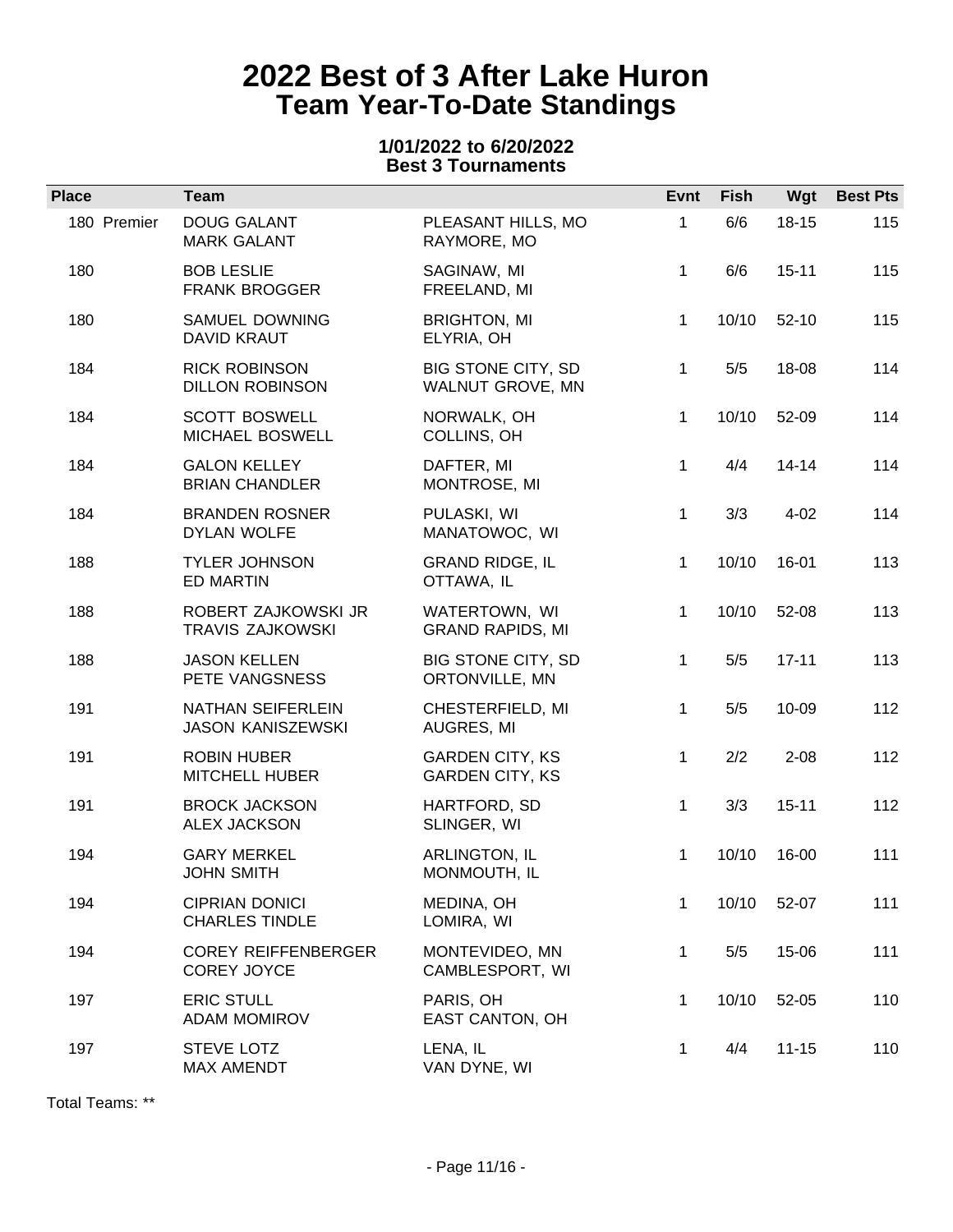### **1/01/2022 to 6/20/2022 Best 3 Tournaments**

| <b>Place</b> | <b>Team</b>                                      |                                                  | Evnt         | <b>Fish</b> | Wgt       | <b>Best Pts</b> |
|--------------|--------------------------------------------------|--------------------------------------------------|--------------|-------------|-----------|-----------------|
| 180 Premier  | <b>DOUG GALANT</b><br><b>MARK GALANT</b>         | PLEASANT HILLS, MO<br>RAYMORE, MO                | $\mathbf{1}$ | 6/6         | $18 - 15$ | 115             |
| 180          | <b>BOB LESLIE</b><br><b>FRANK BROGGER</b>        | SAGINAW, MI<br>FREELAND, MI                      | $\mathbf 1$  | 6/6         | $15 - 11$ | 115             |
| 180          | SAMUEL DOWNING<br>DAVID KRAUT                    | <b>BRIGHTON, MI</b><br>ELYRIA, OH                | $\mathbf{1}$ | 10/10       | $52-10$   | 115             |
| 184          | <b>RICK ROBINSON</b><br><b>DILLON ROBINSON</b>   | BIG STONE CITY, SD<br>WALNUT GROVE, MN           | $\mathbf 1$  | 5/5         | 18-08     | 114             |
| 184          | <b>SCOTT BOSWELL</b><br>MICHAEL BOSWELL          | NORWALK, OH<br>COLLINS, OH                       | $\mathbf 1$  | 10/10       | 52-09     | 114             |
| 184          | <b>GALON KELLEY</b><br><b>BRIAN CHANDLER</b>     | DAFTER, MI<br>MONTROSE, MI                       | $\mathbf 1$  | 4/4         | $14 - 14$ | 114             |
| 184          | <b>BRANDEN ROSNER</b><br><b>DYLAN WOLFE</b>      | PULASKI, WI<br>MANATOWOC, WI                     | $\mathbf 1$  | 3/3         | $4 - 02$  | 114             |
| 188          | <b>TYLER JOHNSON</b><br><b>ED MARTIN</b>         | <b>GRAND RIDGE, IL</b><br>OTTAWA, IL             | $\mathbf{1}$ | 10/10       | 16-01     | 113             |
| 188          | ROBERT ZAJKOWSKI JR<br><b>TRAVIS ZAJKOWSKI</b>   | WATERTOWN, WI<br><b>GRAND RAPIDS, MI</b>         | 1            | 10/10       | 52-08     | 113             |
| 188          | <b>JASON KELLEN</b><br>PETE VANGSNESS            | BIG STONE CITY, SD<br>ORTONVILLE, MN             | 1            | 5/5         | $17 - 11$ | 113             |
| 191          | NATHAN SEIFERLEIN<br><b>JASON KANISZEWSKI</b>    | CHESTERFIELD, MI<br>AUGRES, MI                   | $\mathbf 1$  | 5/5         | 10-09     | 112             |
| 191          | <b>ROBIN HUBER</b><br><b>MITCHELL HUBER</b>      | <b>GARDEN CITY, KS</b><br><b>GARDEN CITY, KS</b> | $\mathbf 1$  | 2/2         | $2 - 08$  | 112             |
| 191          | <b>BROCK JACKSON</b><br><b>ALEX JACKSON</b>      | HARTFORD, SD<br>SLINGER, WI                      | $\mathbf 1$  | 3/3         | $15 - 11$ | 112             |
| 194          | <b>GARY MERKEL</b><br><b>JOHN SMITH</b>          | ARLINGTON, IL<br>MONMOUTH, IL                    | 1            | 10/10       | 16-00     | 111             |
| 194          | <b>CIPRIAN DONICI</b><br><b>CHARLES TINDLE</b>   | MEDINA, OH<br>LOMIRA, WI                         | 1            | 10/10       | 52-07     | 111             |
| 194          | <b>COREY REIFFENBERGER</b><br><b>COREY JOYCE</b> | MONTEVIDEO, MN<br>CAMBLESPORT, WI                | $\mathbf 1$  | 5/5         | 15-06     | 111             |
| 197          | <b>ERIC STULL</b><br><b>ADAM MOMIROV</b>         | PARIS, OH<br><b>EAST CANTON, OH</b>              | 1            | 10/10       | 52-05     | 110             |
| 197          | <b>STEVE LOTZ</b><br>MAX AMENDT                  | LENA, IL<br>VAN DYNE, WI                         | 1            | 4/4         | $11 - 15$ | 110             |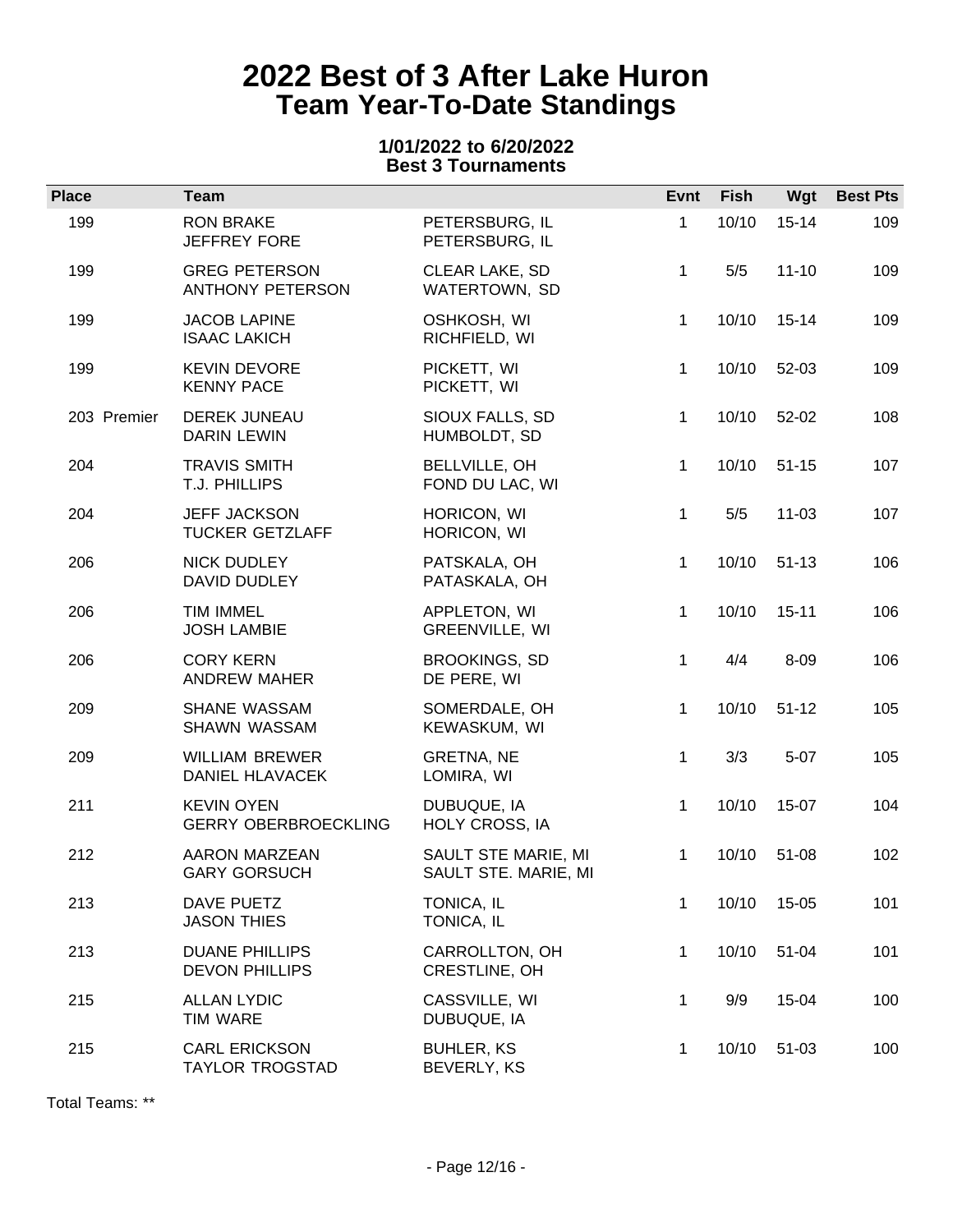### **1/01/2022 to 6/20/2022 Best 3 Tournaments**

| <b>Place</b> | <b>Team</b>                                      |                                             | Evnt         | <b>Fish</b> | Wgt       | <b>Best Pts</b> |
|--------------|--------------------------------------------------|---------------------------------------------|--------------|-------------|-----------|-----------------|
| 199          | <b>RON BRAKE</b><br><b>JEFFREY FORE</b>          | PETERSBURG, IL<br>PETERSBURG, IL            | $\mathbf 1$  | 10/10       | $15 - 14$ | 109             |
| 199          | <b>GREG PETERSON</b><br><b>ANTHONY PETERSON</b>  | <b>CLEAR LAKE, SD</b><br>WATERTOWN, SD      | 1            | 5/5         | $11 - 10$ | 109             |
| 199          | <b>JACOB LAPINE</b><br><b>ISAAC LAKICH</b>       | OSHKOSH, WI<br>RICHFIELD, WI                | 1.           | 10/10       | $15 - 14$ | 109             |
| 199          | <b>KEVIN DEVORE</b><br><b>KENNY PACE</b>         | PICKETT, WI<br>PICKETT, WI                  | $\mathbf{1}$ | 10/10       | 52-03     | 109             |
| 203 Premier  | DEREK JUNEAU<br><b>DARIN LEWIN</b>               | SIOUX FALLS, SD<br>HUMBOLDT, SD             | 1            | 10/10       | 52-02     | 108             |
| 204          | <b>TRAVIS SMITH</b><br>T.J. PHILLIPS             | BELLVILLE, OH<br>FOND DU LAC, WI            | 1            | 10/10       | $51 - 15$ | 107             |
| 204          | <b>JEFF JACKSON</b><br><b>TUCKER GETZLAFF</b>    | HORICON, WI<br>HORICON, WI                  | $\mathbf{1}$ | 5/5         | $11 - 03$ | 107             |
| 206          | <b>NICK DUDLEY</b><br>DAVID DUDLEY               | PATSKALA, OH<br>PATASKALA, OH               | $\mathbf{1}$ | 10/10       | $51 - 13$ | 106             |
| 206          | <b>TIM IMMEL</b><br><b>JOSH LAMBIE</b>           | APPLETON, WI<br>GREENVILLE, WI              | 1            | 10/10       | $15 - 11$ | 106             |
| 206          | <b>CORY KERN</b><br><b>ANDREW MAHER</b>          | <b>BROOKINGS, SD</b><br>DE PERE, WI         | $\mathbf{1}$ | 4/4         | $8 - 09$  | 106             |
| 209          | SHANE WASSAM<br>SHAWN WASSAM                     | SOMERDALE, OH<br>KEWASKUM, WI               | 1            | 10/10       | $51 - 12$ | 105             |
| 209          | <b>WILLIAM BREWER</b><br>DANIEL HLAVACEK         | GRETNA, NE<br>LOMIRA, WI                    | 1            | 3/3         | $5 - 07$  | 105             |
| 211          | <b>KEVIN OYEN</b><br><b>GERRY OBERBROECKLING</b> | DUBUQUE, IA<br>HOLY CROSS, IA               | $\mathbf{1}$ | 10/10       | 15-07     | 104             |
| 212          | AARON MARZEAN<br><b>GARY GORSUCH</b>             | SAULT STE MARIE, MI<br>SAULT STE. MARIE, MI | 1            | 10/10       | 51-08     | 102             |
| 213          | DAVE PUETZ<br><b>JASON THIES</b>                 | TONICA, IL<br>TONICA, IL                    | 1            | 10/10       | 15-05     | 101             |
| 213          | <b>DUANE PHILLIPS</b><br><b>DEVON PHILLIPS</b>   | CARROLLTON, OH<br>CRESTLINE, OH             | 1            | 10/10       | 51-04     | 101             |
| 215          | <b>ALLAN LYDIC</b><br><b>TIM WARE</b>            | CASSVILLE, WI<br>DUBUQUE, IA                | 1            | 9/9         | 15-04     | 100             |
| 215          | CARL ERICKSON<br><b>TAYLOR TROGSTAD</b>          | <b>BUHLER, KS</b><br>BEVERLY, KS            | 1            | 10/10       | 51-03     | 100             |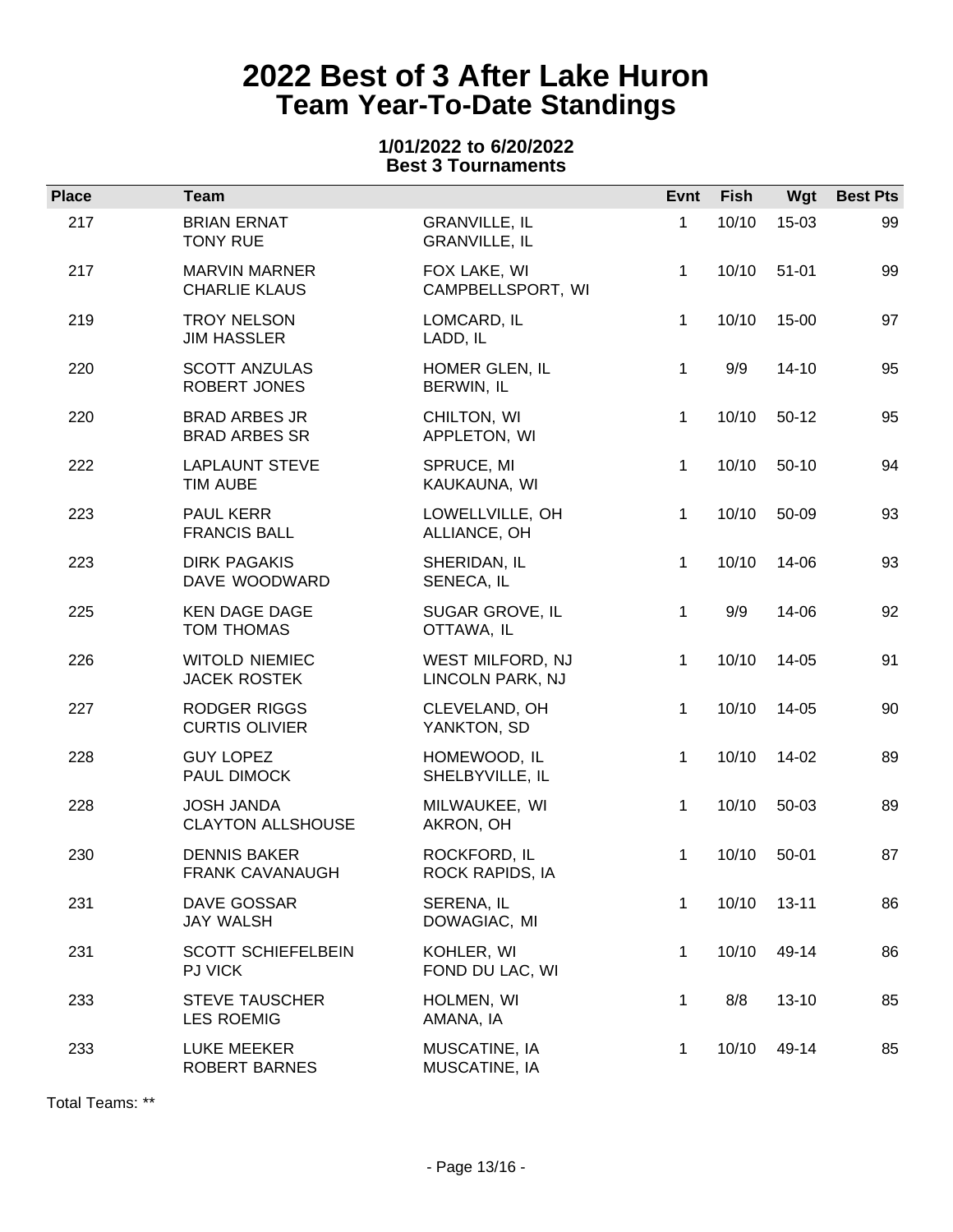### **1/01/2022 to 6/20/2022 Best 3 Tournaments**

| <b>Place</b> | <b>Team</b>                                   |                                              | Evnt         | Fish  | Wgt       | <b>Best Pts</b> |
|--------------|-----------------------------------------------|----------------------------------------------|--------------|-------|-----------|-----------------|
| 217          | <b>BRIAN ERNAT</b><br><b>TONY RUE</b>         | <b>GRANVILLE, IL</b><br><b>GRANVILLE, IL</b> | 1            | 10/10 | 15-03     | 99              |
| 217          | <b>MARVIN MARNER</b><br><b>CHARLIE KLAUS</b>  | FOX LAKE, WI<br>CAMPBELLSPORT, WI            | 1.           | 10/10 | $51 - 01$ | 99              |
| 219          | <b>TROY NELSON</b><br><b>JIM HASSLER</b>      | LOMCARD, IL<br>LADD, IL                      | $\mathbf{1}$ | 10/10 | 15-00     | 97              |
| 220          | <b>SCOTT ANZULAS</b><br>ROBERT JONES          | HOMER GLEN, IL<br>BERWIN, IL                 | $\mathbf{1}$ | 9/9   | $14 - 10$ | 95              |
| 220          | <b>BRAD ARBES JR</b><br><b>BRAD ARBES SR</b>  | CHILTON, WI<br>APPLETON, WI                  | $\mathbf{1}$ | 10/10 | $50-12$   | 95              |
| 222          | <b>LAPLAUNT STEVE</b><br><b>TIM AUBE</b>      | SPRUCE, MI<br>KAUKAUNA, WI                   | $\mathbf{1}$ | 10/10 | $50-10$   | 94              |
| 223          | PAUL KERR<br><b>FRANCIS BALL</b>              | LOWELLVILLE, OH<br>ALLIANCE, OH              | $\mathbf 1$  | 10/10 | 50-09     | 93              |
| 223          | <b>DIRK PAGAKIS</b><br>DAVE WOODWARD          | SHERIDAN, IL<br>SENECA, IL                   | $\mathbf 1$  | 10/10 | 14-06     | 93              |
| 225          | <b>KEN DAGE DAGE</b><br><b>TOM THOMAS</b>     | SUGAR GROVE, IL<br>OTTAWA, IL                | $\mathbf 1$  | 9/9   | 14-06     | 92              |
| 226          | <b>WITOLD NIEMIEC</b><br><b>JACEK ROSTEK</b>  | WEST MILFORD, NJ<br>LINCOLN PARK, NJ         | 1            | 10/10 | 14-05     | 91              |
| 227          | RODGER RIGGS<br><b>CURTIS OLIVIER</b>         | CLEVELAND, OH<br>YANKTON, SD                 | $\mathbf 1$  | 10/10 | 14-05     | 90              |
| 228          | <b>GUY LOPEZ</b><br>PAUL DIMOCK               | HOMEWOOD, IL<br>SHELBYVILLE, IL              | $\mathbf{1}$ | 10/10 | 14-02     | 89              |
| 228          | <b>JOSH JANDA</b><br><b>CLAYTON ALLSHOUSE</b> | MILWAUKEE, WI<br>AKRON, OH                   | $\mathbf{1}$ | 10/10 | 50-03     | 89              |
| 230          | <b>DENNIS BAKER</b><br><b>FRANK CAVANAUGH</b> | ROCKFORD, IL<br>ROCK RAPIDS, IA              | 1            | 10/10 | 50-01     | 87              |
| 231          | DAVE GOSSAR<br><b>JAY WALSH</b>               | SERENA, IL<br>DOWAGIAC, MI                   | 1            | 10/10 | $13 - 11$ | 86              |
| 231          | <b>SCOTT SCHIEFELBEIN</b><br><b>PJ VICK</b>   | KOHLER, WI<br>FOND DU LAC, WI                | 1            | 10/10 | 49-14     | 86              |
| 233          | <b>STEVE TAUSCHER</b><br><b>LES ROEMIG</b>    | HOLMEN, WI<br>AMANA, IA                      | 1            | 8/8   | $13 - 10$ | 85              |
| 233          | LUKE MEEKER<br>ROBERT BARNES                  | MUSCATINE, IA<br>MUSCATINE, IA               | 1            | 10/10 | 49-14     | 85              |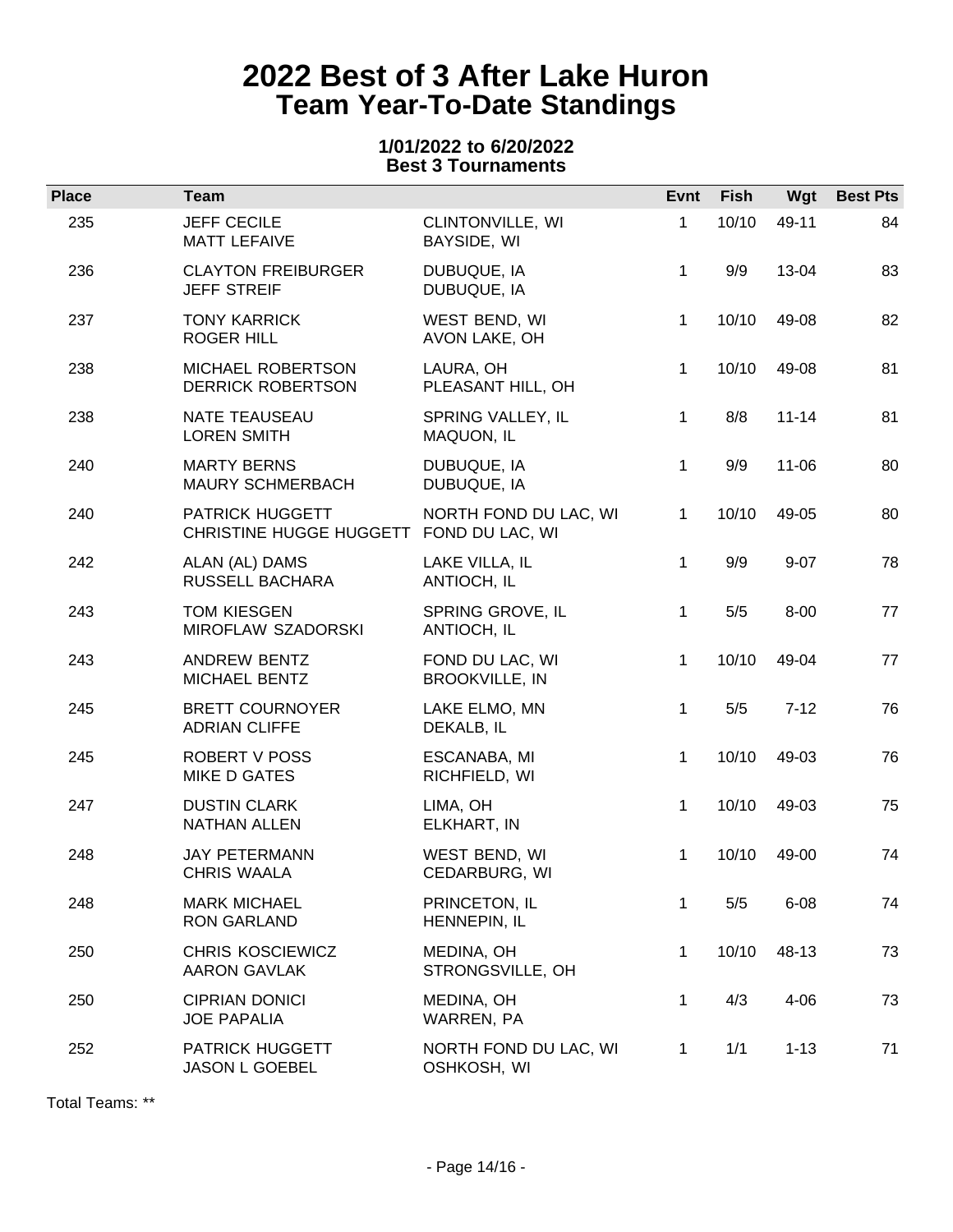### **1/01/2022 to 6/20/2022 Best 3 Tournaments**

| <b>Place</b> | <b>Team</b>                                                |                                          | Evnt         | <b>Fish</b> | Wgt       | <b>Best Pts</b> |
|--------------|------------------------------------------------------------|------------------------------------------|--------------|-------------|-----------|-----------------|
| 235          | <b>JEFF CECILE</b><br><b>MATT LEFAIVE</b>                  | CLINTONVILLE, WI<br>BAYSIDE, WI          | 1            | 10/10       | 49-11     | 84              |
| 236          | <b>CLAYTON FREIBURGER</b><br><b>JEFF STREIF</b>            | DUBUQUE, IA<br>DUBUQUE, IA               | $\mathbf 1$  | 9/9         | 13-04     | 83              |
| 237          | <b>TONY KARRICK</b><br><b>ROGER HILL</b>                   | WEST BEND, WI<br>AVON LAKE, OH           | 1            | 10/10       | 49-08     | 82              |
| 238          | MICHAEL ROBERTSON<br><b>DERRICK ROBERTSON</b>              | LAURA, OH<br>PLEASANT HILL, OH           | $\mathbf 1$  | 10/10       | 49-08     | 81              |
| 238          | <b>NATE TEAUSEAU</b><br><b>LOREN SMITH</b>                 | SPRING VALLEY, IL<br>MAQUON, IL          | $\mathbf{1}$ | 8/8         | $11 - 14$ | 81              |
| 240          | <b>MARTY BERNS</b><br>MAURY SCHMERBACH                     | DUBUQUE, IA<br>DUBUQUE, IA               | $\mathbf 1$  | 9/9         | $11 - 06$ | 80              |
| 240          | PATRICK HUGGETT<br>CHRISTINE HUGGE HUGGETT FOND DU LAC, WI | NORTH FOND DU LAC, WI                    | $\mathbf{1}$ | 10/10       | 49-05     | 80              |
| 242          | ALAN (AL) DAMS<br>RUSSELL BACHARA                          | LAKE VILLA, IL<br>ANTIOCH, IL            | $\mathbf 1$  | 9/9         | $9 - 07$  | 78              |
| 243          | <b>TOM KIESGEN</b><br>MIROFLAW SZADORSKI                   | SPRING GROVE, IL<br>ANTIOCH, IL          | $\mathbf 1$  | 5/5         | $8 - 00$  | 77              |
| 243          | ANDREW BENTZ<br>MICHAEL BENTZ                              | FOND DU LAC, WI<br><b>BROOKVILLE, IN</b> | $\mathbf{1}$ | 10/10       | 49-04     | 77              |
| 245          | <b>BRETT COURNOYER</b><br><b>ADRIAN CLIFFE</b>             | LAKE ELMO, MN<br>DEKALB, IL              | $\mathbf 1$  | 5/5         | $7 - 12$  | 76              |
| 245          | <b>ROBERT V POSS</b><br>MIKE D GATES                       | ESCANABA, MI<br>RICHFIELD, WI            | $\mathbf{1}$ | 10/10       | 49-03     | 76              |
| 247          | <b>DUSTIN CLARK</b><br><b>NATHAN ALLEN</b>                 | LIMA, OH<br>ELKHART, IN                  | $\mathbf{1}$ | 10/10       | 49-03     | 75              |
| 248          | <b>JAY PETERMANN</b><br><b>CHRIS WAALA</b>                 | WEST BEND, WI<br>CEDARBURG, WI           | 1            | 10/10       | 49-00     | 74              |
| 248          | <b>MARK MICHAEL</b><br><b>RON GARLAND</b>                  | PRINCETON, IL<br>HENNEPIN, IL            | 1            | 5/5         | $6 - 08$  | 74              |
| 250          | <b>CHRIS KOSCIEWICZ</b><br><b>AARON GAVLAK</b>             | MEDINA, OH<br>STRONGSVILLE, OH           | $\mathbf{1}$ | 10/10       | 48-13     | 73              |
| 250          | <b>CIPRIAN DONICI</b><br><b>JOE PAPALIA</b>                | MEDINA, OH<br>WARREN, PA                 | 1            | 4/3         | $4 - 06$  | 73              |
| 252          | PATRICK HUGGETT<br><b>JASON L GOEBEL</b>                   | NORTH FOND DU LAC, WI<br>OSHKOSH, WI     | 1            | 1/1         | $1 - 13$  | 71              |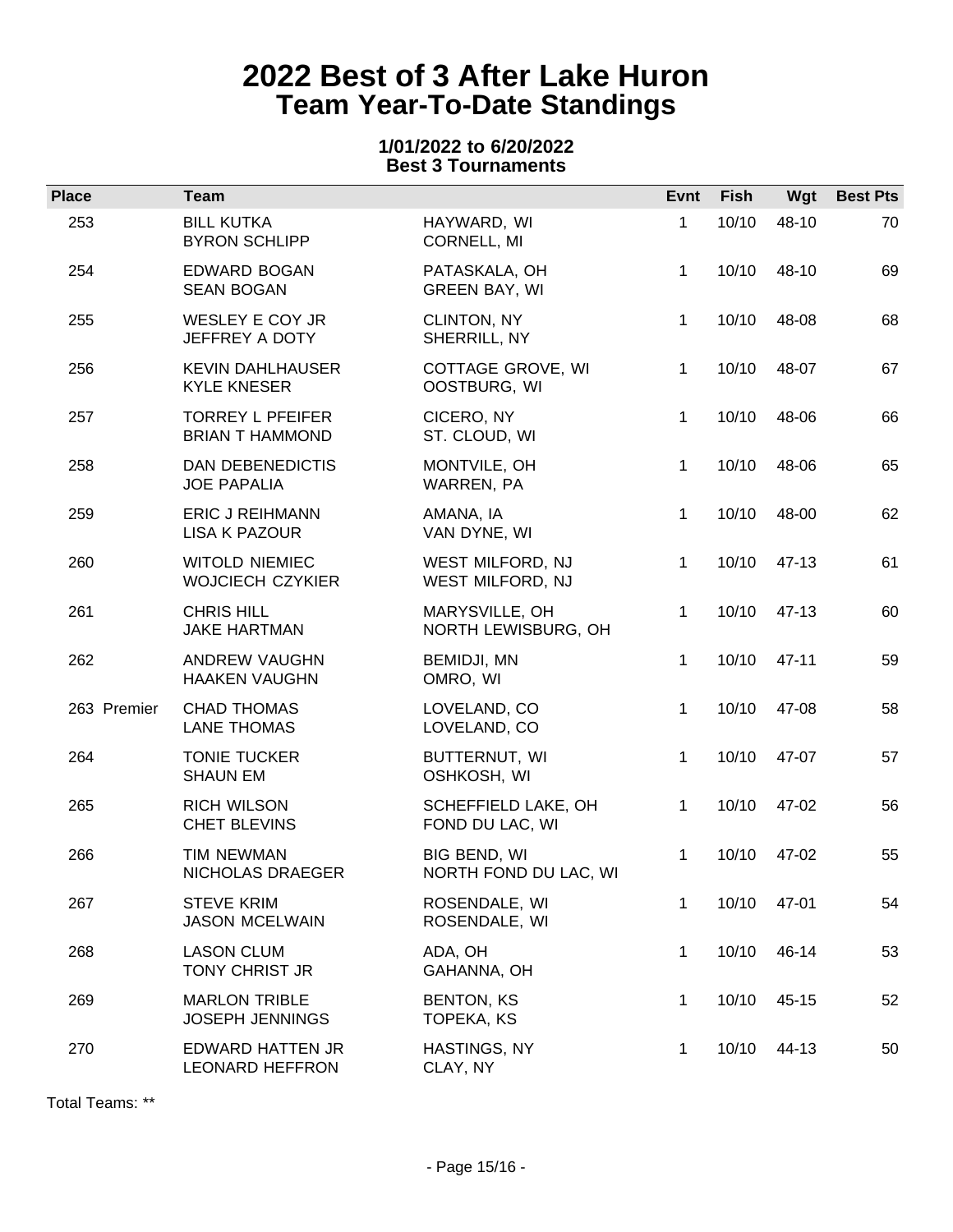### **1/01/2022 to 6/20/2022 Best 3 Tournaments**

| <b>Place</b> | <b>Team</b>                                       |                                        | Evnt         | Fish  | Wgt       | <b>Best Pts</b> |
|--------------|---------------------------------------------------|----------------------------------------|--------------|-------|-----------|-----------------|
| 253          | <b>BILL KUTKA</b><br><b>BYRON SCHLIPP</b>         | HAYWARD, WI<br>CORNELL, MI             | 1            | 10/10 | 48-10     | 70              |
| 254          | <b>EDWARD BOGAN</b><br><b>SEAN BOGAN</b>          | PATASKALA, OH<br><b>GREEN BAY, WI</b>  | $\mathbf{1}$ | 10/10 | 48-10     | 69              |
| 255          | WESLEY E COY JR<br>JEFFREY A DOTY                 | CLINTON, NY<br>SHERRILL, NY            | $\mathbf{1}$ | 10/10 | 48-08     | 68              |
| 256          | <b>KEVIN DAHLHAUSER</b><br><b>KYLE KNESER</b>     | COTTAGE GROVE, WI<br>OOSTBURG, WI      | $\mathbf{1}$ | 10/10 | 48-07     | 67              |
| 257          | <b>TORREY L PFEIFER</b><br><b>BRIAN T HAMMOND</b> | CICERO, NY<br>ST. CLOUD, WI            | $\mathbf{1}$ | 10/10 | 48-06     | 66              |
| 258          | DAN DEBENEDICTIS<br><b>JOE PAPALIA</b>            | MONTVILE, OH<br>WARREN, PA             | 1            | 10/10 | 48-06     | 65              |
| 259          | <b>ERIC J REIHMANN</b><br><b>LISA K PAZOUR</b>    | AMANA, IA<br>VAN DYNE, WI              | $\mathbf 1$  | 10/10 | 48-00     | 62              |
| 260          | <b>WITOLD NIEMIEC</b><br><b>WOJCIECH CZYKIER</b>  | WEST MILFORD, NJ<br>WEST MILFORD, NJ   | $\mathbf 1$  | 10/10 | 47-13     | 61              |
| 261          | <b>CHRIS HILL</b><br><b>JAKE HARTMAN</b>          | MARYSVILLE, OH<br>NORTH LEWISBURG, OH  | $\mathbf 1$  | 10/10 | 47-13     | 60              |
| 262          | ANDREW VAUGHN<br><b>HAAKEN VAUGHN</b>             | BEMIDJI, MN<br>OMRO, WI                | $\mathbf 1$  | 10/10 | $47 - 11$ | 59              |
| 263 Premier  | <b>CHAD THOMAS</b><br><b>LANE THOMAS</b>          | LOVELAND, CO<br>LOVELAND, CO           | $\mathbf{1}$ | 10/10 | 47-08     | 58              |
| 264          | <b>TONIE TUCKER</b><br><b>SHAUN EM</b>            | BUTTERNUT, WI<br>OSHKOSH, WI           | 1            | 10/10 | 47-07     | 57              |
| 265          | <b>RICH WILSON</b><br><b>CHET BLEVINS</b>         | SCHEFFIELD LAKE, OH<br>FOND DU LAC, WI | $\mathbf 1$  | 10/10 | 47-02     | 56              |
| 266          | <b>TIM NEWMAN</b><br>NICHOLAS DRAEGER             | BIG BEND, WI<br>NORTH FOND DU LAC, WI  | 1            | 10/10 | 47-02     | 55              |
| 267          | <b>STEVE KRIM</b><br><b>JASON MCELWAIN</b>        | ROSENDALE, WI<br>ROSENDALE, WI         | 1            | 10/10 | 47-01     | 54              |
| 268          | <b>LASON CLUM</b><br>TONY CHRIST JR               | ADA, OH<br>GAHANNA, OH                 | $\mathbf 1$  | 10/10 | 46-14     | 53              |
| 269          | <b>MARLON TRIBLE</b><br><b>JOSEPH JENNINGS</b>    | <b>BENTON, KS</b><br>TOPEKA, KS        | 1            | 10/10 | 45-15     | 52              |
| 270          | <b>EDWARD HATTEN JR</b><br><b>LEONARD HEFFRON</b> | HASTINGS, NY<br>CLAY, NY               | 1            | 10/10 | 44-13     | 50              |